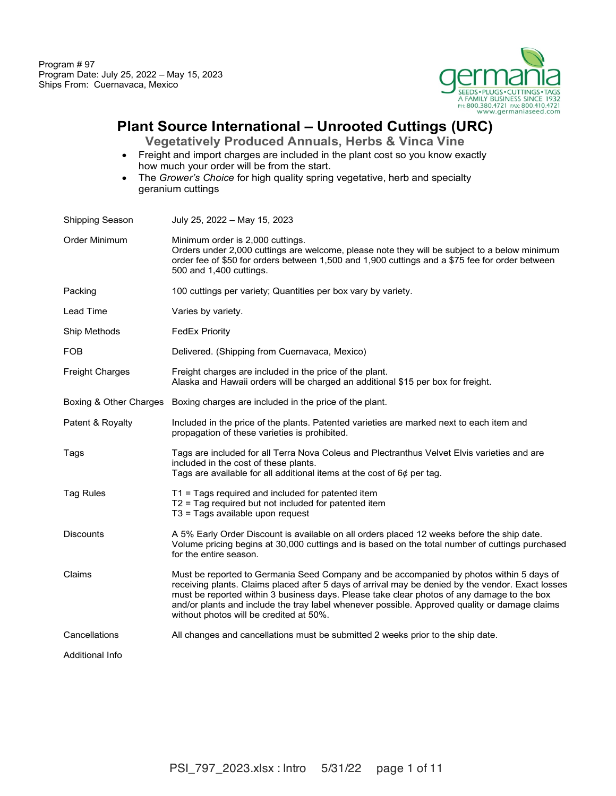

## **Plant Source International – Unrooted Cuttings (URC)**

**Vegetatively Produced Annuals, Herbs & Vinca Vine**

- Freight and import charges are included in the plant cost so you know exactly how much your order will be from the start.
- The *Grower's Choice* for high quality spring vegetative, herb and specialty geranium cuttings

| Shipping Season        | July 25, 2022 - May 15, 2023                                                                                                                                                                                                                                                                                                                                                                                                           |
|------------------------|----------------------------------------------------------------------------------------------------------------------------------------------------------------------------------------------------------------------------------------------------------------------------------------------------------------------------------------------------------------------------------------------------------------------------------------|
| Order Minimum          | Minimum order is 2,000 cuttings.<br>Orders under 2,000 cuttings are welcome, please note they will be subject to a below minimum<br>order fee of \$50 for orders between 1,500 and 1,900 cuttings and a \$75 fee for order between<br>500 and 1,400 cuttings.                                                                                                                                                                          |
| Packing                | 100 cuttings per variety; Quantities per box vary by variety.                                                                                                                                                                                                                                                                                                                                                                          |
| Lead Time              | Varies by variety.                                                                                                                                                                                                                                                                                                                                                                                                                     |
| Ship Methods           | <b>FedEx Priority</b>                                                                                                                                                                                                                                                                                                                                                                                                                  |
| FOB                    | Delivered. (Shipping from Cuernavaca, Mexico)                                                                                                                                                                                                                                                                                                                                                                                          |
| <b>Freight Charges</b> | Freight charges are included in the price of the plant.<br>Alaska and Hawaii orders will be charged an additional \$15 per box for freight.                                                                                                                                                                                                                                                                                            |
|                        | Boxing & Other Charges Boxing charges are included in the price of the plant.                                                                                                                                                                                                                                                                                                                                                          |
| Patent & Royalty       | Included in the price of the plants. Patented varieties are marked next to each item and<br>propagation of these varieties is prohibited.                                                                                                                                                                                                                                                                                              |
| Tags                   | Tags are included for all Terra Nova Coleus and Plectranthus Velvet Elvis varieties and are<br>included in the cost of these plants.<br>Tags are available for all additional items at the cost of $6¢$ per tag.                                                                                                                                                                                                                       |
| <b>Tag Rules</b>       | $T1$ = Tags required and included for patented item<br>$T2$ = Tag required but not included for patented item<br>T3 = Tags available upon request                                                                                                                                                                                                                                                                                      |
| <b>Discounts</b>       | A 5% Early Order Discount is available on all orders placed 12 weeks before the ship date.<br>Volume pricing begins at 30,000 cuttings and is based on the total number of cuttings purchased<br>for the entire season.                                                                                                                                                                                                                |
| Claims                 | Must be reported to Germania Seed Company and be accompanied by photos within 5 days of<br>receiving plants. Claims placed after 5 days of arrival may be denied by the vendor. Exact losses<br>must be reported within 3 business days. Please take clear photos of any damage to the box<br>and/or plants and include the tray label whenever possible. Approved quality or damage claims<br>without photos will be credited at 50%. |
| Cancellations          | All changes and cancellations must be submitted 2 weeks prior to the ship date.                                                                                                                                                                                                                                                                                                                                                        |
| Additional Info        |                                                                                                                                                                                                                                                                                                                                                                                                                                        |
|                        |                                                                                                                                                                                                                                                                                                                                                                                                                                        |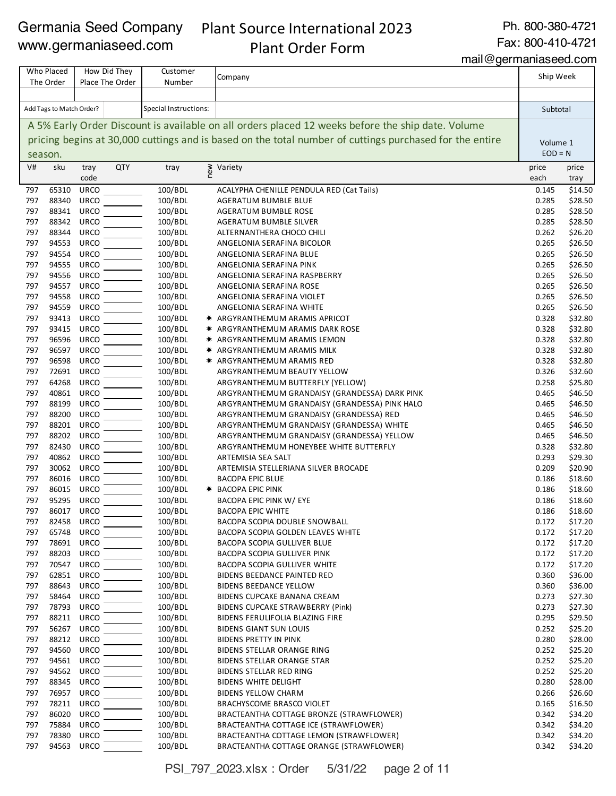## Plant Source International 2023 Plant Order Form

Ph. 800-380-4721

Fax: 800-410-4721

mail@germaniaseed.com

|            | Who Placed<br>The Order  | How Did They<br>Place The Order | Customer<br>Number    | Company                                                                                                 | Ship Week      |                    |
|------------|--------------------------|---------------------------------|-----------------------|---------------------------------------------------------------------------------------------------------|----------------|--------------------|
|            |                          |                                 |                       |                                                                                                         |                |                    |
|            | Add Tags to Match Order? |                                 | Special Instructions: |                                                                                                         | Subtotal       |                    |
|            |                          |                                 |                       | A 5% Early Order Discount is available on all orders placed 12 weeks before the ship date. Volume       |                |                    |
|            |                          |                                 |                       | pricing begins at 30,000 cuttings and is based on the total number of cuttings purchased for the entire | Volume 1       |                    |
|            | season.                  |                                 |                       |                                                                                                         | $EOD = N$      |                    |
| V#         | sku                      | <b>QTY</b><br>tray              | new<br>tray           | Variety                                                                                                 | price          | price              |
|            |                          | code                            |                       |                                                                                                         | each           | tray               |
| 797<br>797 | 65310<br>88340           | <b>URCO</b><br><b>URCO</b>      | 100/BDL<br>100/BDL    | ACALYPHA CHENILLE PENDULA RED (Cat Tails)                                                               | 0.145<br>0.285 | \$14.50<br>\$28.50 |
| 797        | 88341                    | <b>URCO</b>                     | 100/BDL               | AGERATUM BUMBLE BLUE<br><b>AGERATUM BUMBLE ROSE</b>                                                     | 0.285          | \$28.50            |
| 797        | 88342                    | <b>URCO</b>                     | 100/BDL               | AGERATUM BUMBLE SILVER                                                                                  | 0.285          | \$28.50            |
| 797        | 88344                    | <b>URCO</b>                     | 100/BDL               | ALTERNANTHERA CHOCO CHILI                                                                               | 0.262          | \$26.20            |
| 797        | 94553                    | <b>URCO</b>                     | 100/BDL               | ANGELONIA SERAFINA BICOLOR                                                                              | 0.265          | \$26.50            |
| 797        | 94554                    | <b>URCO</b>                     | 100/BDL               | ANGELONIA SERAFINA BLUE                                                                                 | 0.265          | \$26.50            |
| 797        | 94555                    | <b>URCO</b>                     | 100/BDL               | ANGELONIA SERAFINA PINK                                                                                 | 0.265          | \$26.50            |
| 797<br>797 | 94556<br>94557           | <b>URCO</b>                     | 100/BDL<br>100/BDL    | ANGELONIA SERAFINA RASPBERRY                                                                            | 0.265          | \$26.50            |
| 797        | 94558                    | <b>URCO</b><br><b>URCO</b>      | 100/BDL               | ANGELONIA SERAFINA ROSE<br>ANGELONIA SERAFINA VIOLET                                                    | 0.265<br>0.265 | \$26.50<br>\$26.50 |
| 797        | 94559                    | <b>URCO</b>                     | 100/BDL               | ANGELONIA SERAFINA WHITE                                                                                | 0.265          | \$26.50            |
| 797        | 93413                    | <b>URCO</b>                     | 100/BDL               | * ARGYRANTHEMUM ARAMIS APRICOT                                                                          | 0.328          | \$32.80            |
| 797        | 93415                    | <b>URCO</b>                     | 100/BDL               | * ARGYRANTHEMUM ARAMIS DARK ROSE                                                                        | 0.328          | \$32.80            |
| 797        | 96596                    | <b>URCO</b>                     | 100/BDL               | * ARGYRANTHEMUM ARAMIS LEMON                                                                            | 0.328          | \$32.80            |
| 797        | 96597                    | <b>URCO</b>                     | 100/BDL               | * ARGYRANTHEMUM ARAMIS MILK                                                                             | 0.328          | \$32.80            |
| 797        | 96598                    | <b>URCO</b>                     | 100/BDL               | * ARGYRANTHEMUM ARAMIS RED                                                                              | 0.328          | \$32.80            |
| 797        | 72691                    | <b>URCO</b>                     | 100/BDL               | ARGYRANTHEMUM BEAUTY YELLOW                                                                             | 0.326          | \$32.60            |
| 797        | 64268                    | <b>URCO</b>                     | 100/BDL               | ARGYRANTHEMUM BUTTERFLY (YELLOW)                                                                        | 0.258          | \$25.80            |
| 797<br>797 | 40861<br>88199           | <b>URCO</b><br><b>URCO</b>      | 100/BDL<br>100/BDL    | ARGYRANTHEMUM GRANDAISY (GRANDESSA) DARK PINK<br>ARGYRANTHEMUM GRANDAISY (GRANDESSA) PINK HALO          | 0.465<br>0.465 | \$46.50<br>\$46.50 |
| 797        | 88200                    | <b>URCO</b>                     | 100/BDL               | ARGYRANTHEMUM GRANDAISY (GRANDESSA) RED                                                                 | 0.465          | \$46.50            |
| 797        | 88201                    | <b>URCO</b>                     | 100/BDL               | ARGYRANTHEMUM GRANDAISY (GRANDESSA) WHITE                                                               | 0.465          | \$46.50            |
| 797        | 88202                    | <b>URCO</b>                     | 100/BDL               | ARGYRANTHEMUM GRANDAISY (GRANDESSA) YELLOW                                                              | 0.465          | \$46.50            |
| 797        | 82430                    | <b>URCO</b>                     | 100/BDL               | ARGYRANTHEMUM HONEYBEE WHITE BUTTERFLY                                                                  | 0.328          | \$32.80            |
| 797        | 40862                    | <b>URCO</b>                     | 100/BDL               | ARTEMISIA SEA SALT                                                                                      | 0.293          | \$29.30            |
| 797        | 30062                    | <b>URCO</b>                     | 100/BDL               | ARTEMISIA STELLERIANA SILVER BROCADE                                                                    | 0.209          | \$20.90            |
| 797        | 86016                    | <b>URCO</b>                     | 100/BDL               | <b>BACOPA EPIC BLUE</b>                                                                                 | 0.186          | \$18.60            |
| 797        | 86015                    | <b>URCO</b>                     | 100/BDL               | * BACOPA EPIC PINK                                                                                      | 0.186          | \$18.60            |
| 797<br>797 | 95295<br>86017           | <b>URCO</b><br><b>URCO</b>      | 100/BDL<br>100/BDL    | BACOPA EPIC PINK W/ EYE                                                                                 | 0.186<br>0.186 | \$18.60            |
| 797        | 82458                    | <b>URCO</b>                     | 100/BDL               | <b>BACOPA EPIC WHITE</b><br>BACOPA SCOPIA DOUBLE SNOWBALL                                               | 0.172          | \$18.60<br>\$17.20 |
| 797        | 65748                    | <b>URCO</b>                     | 100/BDL               | <b>BACOPA SCOPIA GOLDEN LEAVES WHITE</b>                                                                | 0.172          | \$17.20            |
| 797        | 78691                    | <b>URCO</b>                     | 100/BDL               | BACOPA SCOPIA GULLIVER BLUE                                                                             | 0.172          | \$17.20            |
| 797        | 88203                    | <b>URCO</b>                     | 100/BDL               | <b>BACOPA SCOPIA GULLIVER PINK</b>                                                                      | 0.172          | \$17.20            |
| 797        | 70547                    | <b>URCO</b>                     | 100/BDL               | <b>BACOPA SCOPIA GULLIVER WHITE</b>                                                                     | 0.172          | \$17.20            |
| 797        | 62851                    | URCO                            | 100/BDL               | BIDENS BEEDANCE PAINTED RED                                                                             | 0.360          | \$36.00            |
| 797        | 88643                    | <b>URCO</b>                     | 100/BDL               | <b>BIDENS BEEDANCE YELLOW</b>                                                                           | 0.360          | \$36.00            |
| 797        | 58464                    | <b>URCO</b>                     | 100/BDL               | BIDENS CUPCAKE BANANA CREAM                                                                             | 0.273          | \$27.30            |
| 797        | 78793                    | <b>URCO</b>                     | 100/BDL               | <b>BIDENS CUPCAKE STRAWBERRY (Pink)</b>                                                                 | 0.273          | \$27.30            |
| 797<br>797 | 88211<br>56267           | <b>URCO</b><br><b>URCO</b>      | 100/BDL<br>100/BDL    | BIDENS FERULIFOLIA BLAZING FIRE<br><b>BIDENS GIANT SUN LOUIS</b>                                        | 0.295<br>0.252 | \$29.50<br>\$25.20 |
| 797        | 88212                    | <b>URCO</b>                     | 100/BDL               | <b>BIDENS PRETTY IN PINK</b>                                                                            | 0.280          | \$28.00            |
| 797        | 94560                    | <b>URCO</b>                     | 100/BDL               | <b>BIDENS STELLAR ORANGE RING</b>                                                                       | 0.252          | \$25.20            |
| 797        | 94561                    | <b>URCO</b>                     | 100/BDL               | <b>BIDENS STELLAR ORANGE STAR</b>                                                                       | 0.252          | \$25.20            |
| 797        | 94562                    | <b>URCO</b>                     | 100/BDL               | BIDENS STELLAR RED RING                                                                                 | 0.252          | \$25.20            |
| 797        | 88345                    | URCO                            | 100/BDL               | BIDENS WHITE DELIGHT                                                                                    | 0.280          | \$28.00            |
| 797        | 76957                    | <b>URCO</b>                     | 100/BDL               | <b>BIDENS YELLOW CHARM</b>                                                                              | 0.266          | \$26.60            |
| 797        | 78211                    | <b>URCO</b>                     | 100/BDL               | BRACHYSCOME BRASCO VIOLET                                                                               | 0.165          | \$16.50            |
| 797        | 86020                    | <b>URCO</b>                     | 100/BDL               | BRACTEANTHA COTTAGE BRONZE (STRAWFLOWER)                                                                | 0.342          | \$34.20            |
| 797<br>797 | 75884<br>78380           | <b>URCO</b><br><b>URCO</b>      | 100/BDL<br>100/BDL    | BRACTEANTHA COTTAGE ICE (STRAWFLOWER)<br>BRACTEANTHA COTTAGE LEMON (STRAWFLOWER)                        | 0.342<br>0.342 | \$34.20<br>\$34.20 |
| 797        | 94563                    | <b>URCO</b>                     | 100/BDL               | BRACTEANTHA COTTAGE ORANGE (STRAWFLOWER)                                                                | 0.342          | \$34.20            |
|            |                          |                                 |                       |                                                                                                         |                |                    |

PSI\_797\_2023.xlsx : Order 5/31/22 page 2 of 11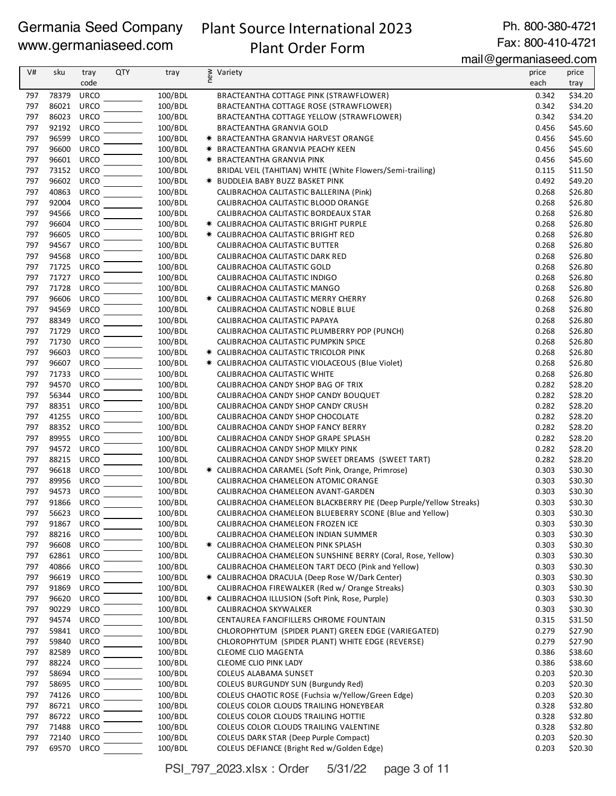## Plant Source International 2023

Ph. 800-380-4721 Fax: 800-410-4721

Plant Order Form

mail@germaniaseed.com

| V#         | sku            | tray                       | <b>QTY</b> | tray               | new | Variety                                                                                                 | price          | price              |
|------------|----------------|----------------------------|------------|--------------------|-----|---------------------------------------------------------------------------------------------------------|----------------|--------------------|
|            |                | code                       |            |                    |     |                                                                                                         | each           | tray               |
| 797        | 78379          | <b>URCO</b>                |            | 100/BDL            |     | BRACTEANTHA COTTAGE PINK (STRAWFLOWER)                                                                  | 0.342          | \$34.20            |
| 797        | 86021          | <b>URCO</b>                |            | 100/BDL            |     | BRACTEANTHA COTTAGE ROSE (STRAWFLOWER)                                                                  | 0.342          | \$34.20            |
| 797        | 86023          | <b>URCO</b>                |            | 100/BDL            |     | BRACTEANTHA COTTAGE YELLOW (STRAWFLOWER)                                                                | 0.342          | \$34.20            |
| 797        | 92192          | <b>URCO</b>                |            | 100/BDL            |     | <b>BRACTEANTHA GRANVIA GOLD</b>                                                                         | 0.456          | \$45.60            |
| 797        | 96599          | <b>URCO</b>                |            | 100/BDL            |     | <b>* BRACTEANTHA GRANVIA HARVEST ORANGE</b>                                                             | 0.456          | \$45.60            |
| 797        | 96600          | URCO                       |            | 100/BDL            |     | * BRACTEANTHA GRANVIA PEACHY KEEN                                                                       | 0.456          | \$45.60            |
| 797        | 96601          | <b>URCO</b>                |            | 100/BDL            |     | <b>★ BRACTEANTHA GRANVIA PINK</b>                                                                       | 0.456          | \$45.60            |
| 797        | 73152          | <b>URCO</b>                |            | 100/BDL            |     | BRIDAL VEIL (TAHITIAN) WHITE (White Flowers/Semi-trailing)                                              | 0.115          | \$11.50            |
| 797        | 96602          | <b>URCO</b>                |            | 100/BDL            |     | <b>★ BUDDLEIA BABY BUZZ BASKET PINK</b>                                                                 | 0.492          | \$49.20            |
| 797        | 40863          | <b>URCO</b>                |            | 100/BDL            |     | CALIBRACHOA CALITASTIC BALLERINA (Pink)                                                                 | 0.268          | \$26.80            |
| 797        | 92004          | <b>URCO</b>                |            | 100/BDL            |     | CALIBRACHOA CALITASTIC BLOOD ORANGE                                                                     | 0.268          | \$26.80            |
| 797        | 94566          | <b>URCO</b>                |            | 100/BDL            |     | CALIBRACHOA CALITASTIC BORDEAUX STAR                                                                    | 0.268          | \$26.80            |
| 797        | 96604          | <b>URCO</b>                |            | 100/BDL            |     | * CALIBRACHOA CALITASTIC BRIGHT PURPLE                                                                  | 0.268          | \$26.80            |
| 797        | 96605<br>94567 | <b>URCO</b><br><b>URCO</b> |            | 100/BDL            |     | * CALIBRACHOA CALITASTIC BRIGHT RED                                                                     | 0.268          | \$26.80            |
| 797<br>797 | 94568          | <b>URCO</b>                |            | 100/BDL<br>100/BDL |     | CALIBRACHOA CALITASTIC BUTTER<br>CALIBRACHOA CALITASTIC DARK RED                                        | 0.268<br>0.268 | \$26.80<br>\$26.80 |
| 797        | 71725          | <b>URCO</b>                |            | 100/BDL            |     | CALIBRACHOA CALITASTIC GOLD                                                                             | 0.268          | \$26.80            |
| 797        | 71727          | <b>URCO</b>                |            | 100/BDL            |     | CALIBRACHOA CALITASTIC INDIGO                                                                           | 0.268          | \$26.80            |
| 797        | 71728          | <b>URCO</b>                |            | 100/BDL            |     | CALIBRACHOA CALITASTIC MANGO                                                                            | 0.268          | \$26.80            |
| 797        | 96606          | <b>URCO</b>                |            | 100/BDL            |     | * CALIBRACHOA CALITASTIC MERRY CHERRY                                                                   | 0.268          | \$26.80            |
| 797        | 94569          | <b>URCO</b>                |            | 100/BDL            |     | CALIBRACHOA CALITASTIC NOBLE BLUE                                                                       | 0.268          | \$26.80            |
| 797        | 88349          | <b>URCO</b>                |            | 100/BDL            |     | CALIBRACHOA CALITASTIC PAPAYA                                                                           | 0.268          | \$26.80            |
| 797        | 71729          | <b>URCO</b>                |            | 100/BDL            |     | CALIBRACHOA CALITASTIC PLUMBERRY POP (PUNCH)                                                            | 0.268          | \$26.80            |
| 797        | 71730          | <b>URCO</b>                |            | 100/BDL            |     | CALIBRACHOA CALITASTIC PUMPKIN SPICE                                                                    | 0.268          | \$26.80            |
| 797        | 96603          | <b>URCO</b>                |            | 100/BDL            |     | * CALIBRACHOA CALITASTIC TRICOLOR PINK                                                                  | 0.268          | \$26.80            |
| 797        | 96607          | <b>URCO</b>                |            | 100/BDL            |     | * CALIBRACHOA CALITASTIC VIOLACEOUS (Blue Violet)                                                       | 0.268          | \$26.80            |
| 797        | 71733          | <b>URCO</b>                |            | 100/BDL            |     | CALIBRACHOA CALITASTIC WHITE                                                                            | 0.268          | \$26.80            |
| 797        | 94570          | <b>URCO</b>                |            | 100/BDL            |     | CALIBRACHOA CANDY SHOP BAG OF TRIX                                                                      | 0.282          | \$28.20            |
| 797        | 56344          | <b>URCO</b>                |            | 100/BDL            |     | CALIBRACHOA CANDY SHOP CANDY BOUQUET                                                                    | 0.282          | \$28.20            |
| 797        | 88351          | <b>URCO</b>                |            | 100/BDL            |     | CALIBRACHOA CANDY SHOP CANDY CRUSH                                                                      | 0.282          | \$28.20            |
| 797        | 41255          | <b>URCO</b>                |            | 100/BDL            |     | CALIBRACHOA CANDY SHOP CHOCOLATE                                                                        | 0.282          | \$28.20            |
| 797        | 88352          | <b>URCO</b>                |            | 100/BDL            |     | CALIBRACHOA CANDY SHOP FANCY BERRY                                                                      | 0.282          | \$28.20            |
| 797        | 89955          | <b>URCO</b>                |            | 100/BDL            |     | CALIBRACHOA CANDY SHOP GRAPE SPLASH                                                                     | 0.282          | \$28.20            |
| 797        | 94572          | <b>URCO</b>                |            | 100/BDL            |     | CALIBRACHOA CANDY SHOP MILKY PINK                                                                       | 0.282          | \$28.20            |
| 797        | 88215          | <b>URCO</b>                |            | 100/BDL            |     | CALIBRACHOA CANDY SHOP SWEET DREAMS (SWEET TART)                                                        | 0.282          | \$28.20            |
| 797        | 96618          | <b>URCO</b>                |            | 100/BDL            |     | * CALIBRACHOA CARAMEL (Soft Pink, Orange, Primrose)                                                     | 0.303          | \$30.30            |
| 797        | 89956<br>94573 | <b>URCO</b>                |            | 100/BDL            |     | CALIBRACHOA CHAMELEON ATOMIC ORANGE                                                                     | 0.303          | \$30.30            |
| 797<br>797 | 91866          | <b>URCO</b><br><b>URCO</b> |            | 100/BDL<br>100/BDL |     | CALIBRACHOA CHAMELEON AVANT-GARDEN<br>CALIBRACHOA CHAMELEON BLACKBERRY PIE (Deep Purple/Yellow Streaks) | 0.303<br>0.303 | \$30.30<br>\$30.30 |
| 797        | 56623          | <b>URCO</b>                |            | 100/BDL            |     | CALIBRACHOA CHAMELEON BLUEBERRY SCONE (Blue and Yellow)                                                 | 0.303          | \$30.30            |
| 797        | 91867          | <b>URCO</b>                |            | 100/BDL            |     | CALIBRACHOA CHAMELEON FROZEN ICE                                                                        | 0.303          | \$30.30            |
| 797        | 88216          | <b>URCO</b>                |            | 100/BDL            |     | CALIBRACHOA CHAMELEON INDIAN SUMMER                                                                     | 0.303          | \$30.30            |
| 797        | 96608          | <b>URCO</b>                |            | 100/BDL            |     | * CALIBRACHOA CHAMELEON PINK SPLASH                                                                     | 0.303          | \$30.30            |
| 797        | 62861          | <b>URCO</b>                |            | 100/BDL            |     | CALIBRACHOA CHAMELEON SUNSHINE BERRY (Coral, Rose, Yellow)                                              | 0.303          | \$30.30            |
| 797        | 40866          | <b>URCO</b>                |            | 100/BDL            |     | CALIBRACHOA CHAMELEON TART DECO (Pink and Yellow)                                                       | 0.303          | \$30.30            |
| 797        | 96619          | <b>URCO</b>                |            | 100/BDL            |     | * CALIBRACHOA DRACULA (Deep Rose W/Dark Center)                                                         | 0.303          | \$30.30            |
| 797        | 91869          | <b>URCO</b>                |            | 100/BDL            |     | CALIBRACHOA FIREWALKER (Red w/ Orange Streaks)                                                          | 0.303          | \$30.30            |
| 797        | 96620          | <b>URCO</b>                |            | 100/BDL            |     | * CALIBRACHOA ILLUSION (Soft Pink, Rose, Purple)                                                        | 0.303          | \$30.30            |
| 797        | 90229          | <b>URCO</b>                |            | 100/BDL            |     | CALIBRACHOA SKYWALKER                                                                                   | 0.303          | \$30.30            |
| 797        | 94574          | URCO                       |            | 100/BDL            |     | CENTAUREA FANCIFILLERS CHROME FOUNTAIN                                                                  | 0.315          | \$31.50            |
| 797        | 59841          | URCO                       |            | 100/BDL            |     | CHLOROPHYTUM (SPIDER PLANT) GREEN EDGE (VARIEGATED)                                                     | 0.279          | \$27.90            |
| 797        | 59840          | <b>URCO</b>                |            | 100/BDL            |     | CHLOROPHYTUM (SPIDER PLANT) WHITE EDGE (REVERSE)                                                        | 0.279          | \$27.90            |
| 797        | 82589          | <b>URCO</b>                |            | 100/BDL            |     | <b>CLEOME CLIO MAGENTA</b>                                                                              | 0.386          | \$38.60            |
| 797        | 88224          | <b>URCO</b>                |            | 100/BDL            |     | CLEOME CLIO PINK LADY                                                                                   | 0.386          | \$38.60            |
| 797        | 58694          | <b>URCO</b>                |            | 100/BDL            |     | COLEUS ALABAMA SUNSET                                                                                   | 0.203          | \$20.30            |
| 797        | 58695          | <b>URCO</b>                |            | 100/BDL            |     | COLEUS BURGUNDY SUN (Burgundy Red)                                                                      | 0.203          | \$20.30            |
| 797        | 74126          | <b>URCO</b>                |            | 100/BDL            |     | COLEUS CHAOTIC ROSE (Fuchsia w/Yellow/Green Edge)                                                       | 0.203          | \$20.30            |
| 797        | 86721          | <b>URCO</b>                |            | 100/BDL            |     | COLEUS COLOR CLOUDS TRAILING HONEYBEAR                                                                  | 0.328          | \$32.80            |
| 797        | 86722          | <b>URCO</b>                |            | 100/BDL            |     | COLEUS COLOR CLOUDS TRAILING HOTTIE                                                                     | 0.328          | \$32.80            |
| 797        | 71488          | URCO                       |            | 100/BDL            |     | COLEUS COLOR CLOUDS TRAILING VALENTINE                                                                  | 0.328          | \$32.80            |
| 797        | 72140          | <b>URCO</b>                |            | 100/BDL            |     | COLEUS DARK STAR (Deep Purple Compact)                                                                  | 0.203          | \$20.30            |
| 797        | 69570          | URCO                       |            | 100/BDL            |     | COLEUS DEFIANCE (Bright Red w/Golden Edge)                                                              | 0.203          | \$20.30            |

PSI\_797\_2023.xlsx : Order 5/31/22 page 3 of 11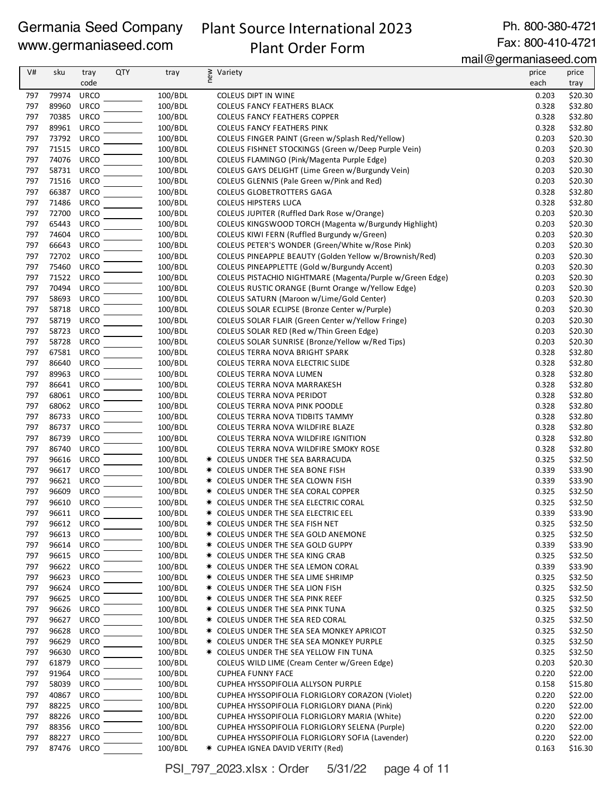## Plant Source International 2023 Plant Order Form

Ph. 800-380-4721 Fax: 800-410-4721

mail@germaniaseed.com

| V#         | sku            | tray                | <b>QTY</b> | tray               | new<br>Variety                                                                                       | price          | price              |
|------------|----------------|---------------------|------------|--------------------|------------------------------------------------------------------------------------------------------|----------------|--------------------|
|            |                | code                |            |                    |                                                                                                      | each           | tray               |
| 797        | 79974          | <b>URCO</b>         |            | 100/BDL            | COLEUS DIPT IN WINE                                                                                  | 0.203          | \$20.30            |
| 797        | 89960          | URCO                |            | 100/BDL            | <b>COLEUS FANCY FEATHERS BLACK</b>                                                                   | 0.328          | \$32.80            |
| 797        | 70385          | URCO                |            | 100/BDL            | <b>COLEUS FANCY FEATHERS COPPER</b>                                                                  | 0.328          | \$32.80            |
| 797        | 89961          | URCO                |            | 100/BDL            | <b>COLEUS FANCY FEATHERS PINK</b>                                                                    | 0.328          | \$32.80            |
| 797        | 73792          | <b>URCO</b>         |            | 100/BDL            | COLEUS FINGER PAINT (Green w/Splash Red/Yellow)                                                      | 0.203          | \$20.30            |
| 797        | 71515          | URCO                |            | 100/BDL            | COLEUS FISHNET STOCKINGS (Green w/Deep Purple Vein)                                                  | 0.203          | \$20.30            |
| 797        | 74076          | <b>URCO</b>         |            | 100/BDL            | COLEUS FLAMINGO (Pink/Magenta Purple Edge)                                                           | 0.203          | \$20.30            |
| 797        | 58731          | URCO                |            | 100/BDL            | COLEUS GAYS DELIGHT (Lime Green w/Burgundy Vein)                                                     | 0.203          | \$20.30            |
| 797        | 71516          | <b>URCO</b>         |            | 100/BDL            | COLEUS GLENNIS (Pale Green w/Pink and Red)                                                           | 0.203          | \$20.30            |
| 797        | 66387          | <b>URCO</b>         |            | 100/BDL            | <b>COLEUS GLOBETROTTERS GAGA</b>                                                                     | 0.328          | \$32.80            |
| 797<br>797 | 71486<br>72700 | <b>URCO</b>         |            | 100/BDL            | <b>COLEUS HIPSTERS LUCA</b>                                                                          | 0.328          | \$32.80            |
| 797        | 65443          | URCO<br>URCO        |            | 100/BDL<br>100/BDL | COLEUS JUPITER (Ruffled Dark Rose w/Orange)<br>COLEUS KINGSWOOD TORCH (Magenta w/Burgundy Highlight) | 0.203<br>0.203 | \$20.30<br>\$20.30 |
| 797        | 74604          | URCO                |            | 100/BDL            | COLEUS KIWI FERN (Ruffled Burgundy w/Green)                                                          | 0.203          | \$20.30            |
| 797        | 66643          | <b>URCO</b>         |            | 100/BDL            | COLEUS PETER'S WONDER (Green/White w/Rose Pink)                                                      | 0.203          | \$20.30            |
| 797        | 72702          | URCO                |            | 100/BDL            | COLEUS PINEAPPLE BEAUTY (Golden Yellow w/Brownish/Red)                                               | 0.203          | \$20.30            |
| 797        | 75460          | <b>URCO</b>         |            | 100/BDL            | COLEUS PINEAPPLETTE (Gold w/Burgundy Accent)                                                         | 0.203          | \$20.30            |
| 797        | 71522          | <b>URCO</b>         |            | 100/BDL            | COLEUS PISTACHIO NIGHTMARE (Magenta/Purple w/Green Edge)                                             | 0.203          | \$20.30            |
| 797        | 70494          | <b>URCO</b>         |            | 100/BDL            | COLEUS RUSTIC ORANGE (Burnt Orange w/Yellow Edge)                                                    | 0.203          | \$20.30            |
| 797        | 58693          | <b>URCO</b>         |            | 100/BDL            | COLEUS SATURN (Maroon w/Lime/Gold Center)                                                            | 0.203          | \$20.30            |
| 797        | 58718          | URCO                |            | 100/BDL            | COLEUS SOLAR ECLIPSE (Bronze Center w/Purple)                                                        | 0.203          | \$20.30            |
| 797        | 58719          | URCO                |            | 100/BDL            | COLEUS SOLAR FLAIR (Green Center w/Yellow Fringe)                                                    | 0.203          | \$20.30            |
| 797        | 58723          | URCO                |            | 100/BDL            | COLEUS SOLAR RED (Red w/Thin Green Edge)                                                             | 0.203          | \$20.30            |
| 797        | 58728          | URCO                |            | 100/BDL            | COLEUS SOLAR SUNRISE (Bronze/Yellow w/Red Tips)                                                      | 0.203          | \$20.30            |
| 797        | 67581          | URCO                |            | 100/BDL            | <b>COLEUS TERRA NOVA BRIGHT SPARK</b>                                                                | 0.328          | \$32.80            |
| 797        | 86640          | <b>URCO</b>         |            | 100/BDL            | COLEUS TERRA NOVA ELECTRIC SLIDE                                                                     | 0.328          | \$32.80            |
| 797        | 89963          | URCO                |            | 100/BDL            | COLEUS TERRA NOVA LUMEN                                                                              | 0.328          | \$32.80            |
| 797        | 86641          | URCO                |            | 100/BDL            | COLEUS TERRA NOVA MARRAKESH                                                                          | 0.328          | \$32.80            |
| 797        | 68061          | <b>URCO</b>         |            | 100/BDL            | COLEUS TERRA NOVA PERIDOT                                                                            | 0.328          | \$32.80            |
| 797        | 68062          | <b>URCO</b>         |            | 100/BDL            | COLEUS TERRA NOVA PINK POODLE                                                                        | 0.328          | \$32.80            |
| 797        | 86733          | URCO                |            | 100/BDL            | COLEUS TERRA NOVA TIDBITS TAMMY                                                                      | 0.328          | \$32.80            |
| 797<br>797 | 86737<br>86739 | URCO<br><b>URCO</b> |            | 100/BDL            | COLEUS TERRA NOVA WILDFIRE BLAZE                                                                     | 0.328          | \$32.80            |
| 797        | 86740          | URCO                |            | 100/BDL<br>100/BDL | COLEUS TERRA NOVA WILDFIRE IGNITION<br>COLEUS TERRA NOVA WILDFIRE SMOKY ROSE                         | 0.328<br>0.328 | \$32.80<br>\$32.80 |
| 797        | 96616          | URCO                |            | 100/BDL            | * COLEUS UNDER THE SEA BARRACUDA                                                                     | 0.325          | \$32.50            |
| 797        | 96617          | <b>URCO</b>         |            | 100/BDL            | * COLEUS UNDER THE SEA BONE FISH                                                                     | 0.339          | \$33.90            |
| 797        | 96621          | URCO                |            | 100/BDL            | <b>★ COLEUS UNDER THE SEA CLOWN FISH</b>                                                             | 0.339          | \$33.90            |
| 797        | 96609          | <b>URCO</b>         |            | 100/BDL            | * COLEUS UNDER THE SEA CORAL COPPER                                                                  | 0.325          | \$32.50            |
| 797        | 96610          | <b>URCO</b>         |            | 100/BDL            | * COLEUS UNDER THE SEA ELECTRIC CORAL                                                                | 0.325          | \$32.50            |
| 797        | 96611          | URCO                |            | 100/BDL            | * COLEUS UNDER THE SEA ELECTRIC EEL                                                                  | 0.339          | \$33.90            |
| 797        | 96612 URCO     |                     |            | 100/BDL            | * COLEUS UNDER THE SEA FISH NET                                                                      | 0.325          | \$32.50            |
| 797        | 96613 URCO     |                     |            | 100/BDL            | <b>★ COLEUS UNDER THE SEA GOLD ANEMONE</b>                                                           | 0.325          | \$32.50            |
| 797        | 96614          | <b>URCO</b>         |            | 100/BDL            | * COLEUS UNDER THE SEA GOLD GUPPY                                                                    | 0.339          | \$33.90            |
| 797        | 96615          | URCO                |            | 100/BDL            | * COLEUS UNDER THE SEA KING CRAB                                                                     | 0.325          | \$32.50            |
| 797        | 96622          | <b>URCO</b>         |            | 100/BDL            | * COLEUS UNDER THE SEA LEMON CORAL                                                                   | 0.339          | \$33.90            |
| 797        | 96623          | <b>URCO</b>         |            | 100/BDL            | * COLEUS UNDER THE SEA LIME SHRIMP                                                                   | 0.325          | \$32.50            |
| 797        | 96624          | URCO                |            | 100/BDL            | * COLEUS UNDER THE SEA LION FISH                                                                     | 0.325          | \$32.50            |
| 797        | 96625          | <b>URCO</b>         |            | 100/BDL            | * COLEUS UNDER THE SEA PINK REEF                                                                     | 0.325          | \$32.50            |
| 797        | 96626          | URCO                |            | 100/BDL            | * COLEUS UNDER THE SEA PINK TUNA                                                                     | 0.325          | \$32.50            |
| 797        | 96627          | <b>URCO</b>         |            | 100/BDL            | <b>★ COLEUS UNDER THE SEA RED CORAL</b>                                                              | 0.325          | \$32.50            |
| 797        | 96628          | URCO                |            | 100/BDL            | * COLEUS UNDER THE SEA SEA MONKEY APRICOT                                                            | 0.325          | \$32.50            |
| 797<br>797 | 96629<br>96630 | URCO<br><b>URCO</b> |            | 100/BDL<br>100/BDL | * COLEUS UNDER THE SEA SEA MONKEY PURPLE<br>* COLEUS UNDER THE SEA YELLOW FIN TUNA                   | 0.325<br>0.325 | \$32.50<br>\$32.50 |
| 797        | 61879          | URCO                |            | 100/BDL            | COLEUS WILD LIME (Cream Center w/Green Edge)                                                         | 0.203          | \$20.30            |
| 797        | 91964          | <b>URCO</b>         |            | 100/BDL            | <b>CUPHEA FUNNY FACE</b>                                                                             | 0.220          | \$22.00            |
| 797        | 58039          | URCO                |            | 100/BDL            | CUPHEA HYSSOPIFOLIA ALLYSON PURPLE                                                                   | 0.158          | \$15.80            |
| 797        | 40867          | <b>URCO</b>         |            | 100/BDL            | CUPHEA HYSSOPIFOLIA FLORIGLORY CORAZON (Violet)                                                      | 0.220          | \$22.00            |
| 797        | 88225          | <b>URCO</b>         |            | 100/BDL            | CUPHEA HYSSOPIFOLIA FLORIGLORY DIANA (Pink)                                                          | 0.220          | \$22.00            |
| 797        | 88226          | <b>URCO</b>         |            | 100/BDL            | CUPHEA HYSSOPIFOLIA FLORIGLORY MARIA (White)                                                         | 0.220          | \$22.00            |
| 797        | 88356          | <b>URCO</b>         |            | 100/BDL            | CUPHEA HYSSOPIFOLIA FLORIGLORY SELENA (Purple)                                                       | 0.220          | \$22.00            |
| 797        | 88227          | <b>URCO</b>         |            | 100/BDL            | CUPHEA HYSSOPIFOLIA FLORIGLORY SOFIA (Lavender)                                                      | 0.220          | \$22.00            |
| 797        | 87476          | URCO                |            | 100/BDL            | * CUPHEA IGNEA DAVID VERITY (Red)                                                                    | 0.163          | \$16.30            |

PSI\_797\_2023.xlsx : Order 5/31/22 page 4 of 11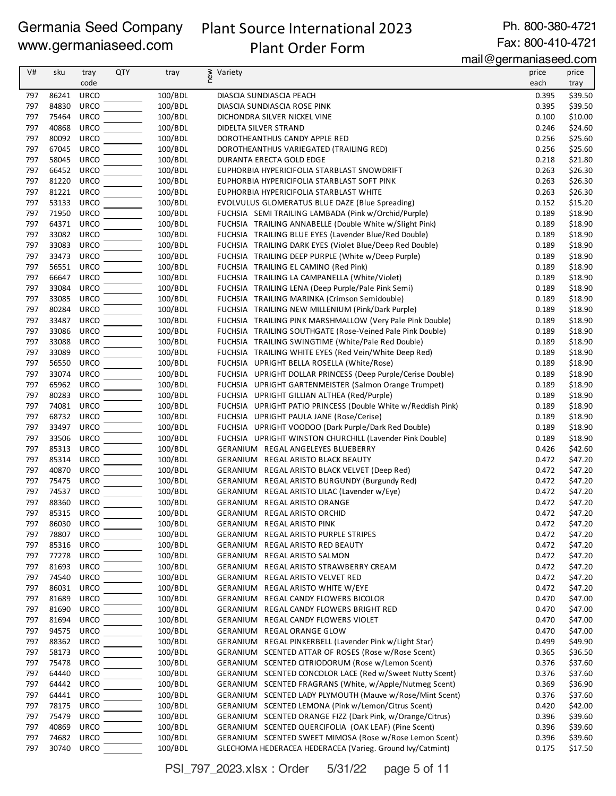## Plant Source International 2023 Plant Order Form

Ph. 800-380-4721 Fax: 800-410-4721

mail@germaniaseed.com

| V#         | sku            | tray<br>code               | <b>QTY</b> | tray               | ≷ Variety                                                                                                      | price<br>each  | price<br>tray      |
|------------|----------------|----------------------------|------------|--------------------|----------------------------------------------------------------------------------------------------------------|----------------|--------------------|
| 797        | 86241          | URCO                       |            | 100/BDL            | DIASCIA SUNDIASCIA PEACH                                                                                       | 0.395          | \$39.50            |
| 797        | 84830          | <b>URCO</b>                |            | 100/BDL            | DIASCIA SUNDIASCIA ROSE PINK                                                                                   | 0.395          | \$39.50            |
| 797        | 75464          | <b>URCO</b>                |            | 100/BDL            | DICHONDRA SILVER NICKEL VINE                                                                                   | 0.100          | \$10.00            |
| 797        | 40868          | <b>URCO</b>                |            | 100/BDL            | DIDELTA SILVER STRAND                                                                                          | 0.246          | \$24.60            |
| 797        | 80092          | <b>URCO</b>                |            | 100/BDL            | DOROTHEANTHUS CANDY APPLE RED                                                                                  | 0.256          | \$25.60            |
| 797        | 67045          | <b>URCO</b>                |            | 100/BDL            | DOROTHEANTHUS VARIEGATED (TRAILING RED)                                                                        | 0.256          | \$25.60            |
| 797        | 58045          | <b>URCO</b>                |            | 100/BDL            | DURANTA ERECTA GOLD EDGE                                                                                       | 0.218          | \$21.80            |
| 797        | 66452          | <b>URCO</b>                |            | 100/BDL            | EUPHORBIA HYPERICIFOLIA STARBLAST SNOWDRIFT                                                                    | 0.263          | \$26.30            |
| 797        | 81220          | <b>URCO</b>                |            | 100/BDL            | EUPHORBIA HYPERICIFOLIA STARBLAST SOFT PINK                                                                    | 0.263          | \$26.30            |
| 797        | 81221          | URCO                       |            | 100/BDL            | EUPHORBIA HYPERICIFOLIA STARBLAST WHITE                                                                        | 0.263          | \$26.30            |
| 797        | 53133          | URCO                       |            | 100/BDL            | EVOLVULUS GLOMERATUS BLUE DAZE (Blue Spreading)                                                                | 0.152          | \$15.20            |
| 797        | 71950          | <b>URCO</b>                |            | 100/BDL            | FUCHSIA SEMI TRAILING LAMBADA (Pink w/Orchid/Purple)                                                           | 0.189          | \$18.90            |
| 797        | 64371 URCO     |                            |            | 100/BDL            | FUCHSIA TRAILING ANNABELLE (Double White w/Slight Pink)                                                        | 0.189          | \$18.90            |
| 797        | 33082          | <b>URCO</b>                |            | 100/BDL            | FUCHSIA TRAILING BLUE EYES (Lavender Blue/Red Double)                                                          | 0.189          | \$18.90            |
| 797<br>797 | 33083<br>33473 | <b>URCO</b><br><b>URCO</b> |            | 100/BDL<br>100/BDL | FUCHSIA TRAILING DARK EYES (Violet Blue/Deep Red Double)<br>FUCHSIA TRAILING DEEP PURPLE (White w/Deep Purple) | 0.189<br>0.189 | \$18.90<br>\$18.90 |
| 797        | 56551          | URCO                       |            | 100/BDL            | FUCHSIA TRAILING EL CAMINO (Red Pink)                                                                          | 0.189          | \$18.90            |
| 797        | 66647          | URCO                       |            | 100/BDL            | FUCHSIA TRAILING LA CAMPANELLA (White/Violet)                                                                  | 0.189          | \$18.90            |
| 797        | 33084          | <b>URCO</b>                |            | 100/BDL            | FUCHSIA TRAILING LENA (Deep Purple/Pale Pink Semi)                                                             | 0.189          | \$18.90            |
| 797        | 33085          | <b>URCO</b>                |            | 100/BDL            | FUCHSIA TRAILING MARINKA (Crimson Semidouble)                                                                  | 0.189          | \$18.90            |
| 797        | 80284          | <b>URCO</b>                |            | 100/BDL            | FUCHSIA TRAILING NEW MILLENIUM (Pink/Dark Purple)                                                              | 0.189          | \$18.90            |
| 797        | 33487          | <b>URCO</b>                |            | 100/BDL            | FUCHSIA TRAILING PINK MARSHMALLOW (Very Pale Pink Double)                                                      | 0.189          | \$18.90            |
| 797        | 33086          | <b>URCO</b>                |            | 100/BDL            | FUCHSIA TRAILING SOUTHGATE (Rose-Veined Pale Pink Double)                                                      | 0.189          | \$18.90            |
| 797        | 33088          | <b>URCO</b>                |            | 100/BDL            | FUCHSIA TRAILING SWINGTIME (White/Pale Red Double)                                                             | 0.189          | \$18.90            |
| 797        | 33089          | <b>URCO</b>                |            | 100/BDL            | FUCHSIA TRAILING WHITE EYES (Red Vein/White Deep Red)                                                          | 0.189          | \$18.90            |
| 797        | 56550          | <b>URCO</b>                |            | 100/BDL            | FUCHSIA UPRIGHT BELLA ROSELLA (White/Rose)                                                                     | 0.189          | \$18.90            |
| 797        | 33074          | <b>URCO</b>                |            | 100/BDL            | FUCHSIA UPRIGHT DOLLAR PRINCESS (Deep Purple/Cerise Double)                                                    | 0.189          | \$18.90            |
| 797        | 65962          | <b>URCO</b>                |            | 100/BDL            | FUCHSIA UPRIGHT GARTENMEISTER (Salmon Orange Trumpet)                                                          | 0.189          | \$18.90            |
| 797        | 80283          | <b>URCO</b>                |            | 100/BDL            | FUCHSIA UPRIGHT GILLIAN ALTHEA (Red/Purple)                                                                    | 0.189          | \$18.90            |
| 797        | 74081          | <b>URCO</b>                |            | 100/BDL            | FUCHSIA UPRIGHT PATIO PRINCESS (Double White w/Reddish Pink)                                                   | 0.189          | \$18.90            |
| 797        | 68732 URCO     |                            |            | 100/BDL            | FUCHSIA UPRIGHT PAULA JANE (Rose/Cerise)                                                                       | 0.189          | \$18.90            |
| 797        | 33497          | <b>URCO</b>                |            | 100/BDL            | FUCHSIA UPRIGHT VOODOO (Dark Purple/Dark Red Double)                                                           | 0.189          | \$18.90            |
| 797<br>797 | 33506<br>85313 | <b>URCO</b><br><b>URCO</b> |            | 100/BDL<br>100/BDL | FUCHSIA UPRIGHT WINSTON CHURCHILL (Lavender Pink Double)                                                       | 0.189<br>0.426 | \$18.90<br>\$42.60 |
| 797        | 85314          | <b>URCO</b>                |            | 100/BDL            | GERANIUM REGAL ANGELEYES BLUEBERRY<br>GERANIUM REGAL ARISTO BLACK BEAUTY                                       | 0.472          | \$47.20            |
| 797        | 40870          | <b>URCO</b>                |            | 100/BDL            | GERANIUM REGAL ARISTO BLACK VELVET (Deep Red)                                                                  | 0.472          | \$47.20            |
| 797        | 75475          | <b>URCO</b>                |            | 100/BDL            | GERANIUM REGAL ARISTO BURGUNDY (Burgundy Red)                                                                  | 0.472          | \$47.20            |
| 797        | 74537          | <b>URCO</b>                |            | 100/BDL            | GERANIUM REGAL ARISTO LILAC (Lavender w/Eye)                                                                   | 0.472          | \$47.20            |
| 797        | 88360          | <b>URCO</b>                |            | 100/BDL            | GERANIUM REGAL ARISTO ORANGE                                                                                   | 0.472          | \$47.20            |
| 797        | 85315 URCO     |                            |            | 100/BDL            | GERANIUM REGAL ARISTO ORCHID                                                                                   | 0.472          | \$47.20            |
| 797        | 86030          | URCO                       |            | 100/BDL            | GERANIUM REGAL ARISTO PINK                                                                                     | 0.472          | \$47.20            |
| 797        | 78807          | <b>URCO</b>                |            | 100/BDL            | GERANIUM REGAL ARISTO PURPLE STRIPES                                                                           | 0.472          | \$47.20            |
| 797        | 85316          | <b>URCO</b>                |            | 100/BDL            | GERANIUM REGAL ARISTO RED BEAUTY                                                                               | 0.472          | \$47.20            |
| 797        | 77278          | <b>URCO</b>                |            | 100/BDL            | GERANIUM REGAL ARISTO SALMON                                                                                   | 0.472          | \$47.20            |
| 797        | 81693          | <b>URCO</b>                |            | 100/BDL            | GERANIUM REGAL ARISTO STRAWBERRY CREAM                                                                         | 0.472          | \$47.20            |
| 797        | 74540          | <b>URCO</b>                |            | 100/BDL            | GERANIUM REGAL ARISTO VELVET RED                                                                               | 0.472          | \$47.20            |
| 797        | 86031          | <b>URCO</b>                |            | 100/BDL            | GERANIUM REGAL ARISTO WHITE W/EYE                                                                              | 0.472          | \$47.20            |
| 797        | 81689          | <b>URCO</b>                |            | 100/BDL            | GERANIUM REGAL CANDY FLOWERS BICOLOR                                                                           | 0.470          | \$47.00            |
| 797        | 81690          | <b>URCO</b>                |            | 100/BDL            | GERANIUM REGAL CANDY FLOWERS BRIGHT RED                                                                        | 0.470          | \$47.00            |
| 797<br>797 | 81694<br>94575 | URCO<br><b>URCO</b>        |            | 100/BDL<br>100/BDL | GERANIUM REGAL CANDY FLOWERS VIOLET<br>GERANIUM REGAL ORANGE GLOW                                              | 0.470<br>0.470 | \$47.00<br>\$47.00 |
| 797        | 88362          | URCO                       |            | 100/BDL            | GERANIUM REGAL PINKERBELL (Lavender Pink w/Light Star)                                                         | 0.499          | \$49.90            |
| 797        | 58173          | URCO                       |            | 100/BDL            | GERANIUM SCENTED ATTAR OF ROSES (Rose w/Rose Scent)                                                            | 0.365          | \$36.50            |
| 797        | 75478          | URCO                       |            | 100/BDL            | GERANIUM SCENTED CITRIODORUM (Rose w/Lemon Scent)                                                              | 0.376          | \$37.60            |
| 797        | 64440          | <b>URCO</b>                |            | 100/BDL            | GERANIUM SCENTED CONCOLOR LACE (Red w/Sweet Nutty Scent)                                                       | 0.376          | \$37.60            |
| 797        | 64442          | <b>URCO</b>                |            | 100/BDL            | GERANIUM SCENTED FRAGRANS (White, w/Apple/Nutmeg Scent)                                                        | 0.369          | \$36.90            |
| 797        | 64441          | <b>URCO</b>                |            | 100/BDL            | GERANIUM SCENTED LADY PLYMOUTH (Mauve w/Rose/Mint Scent)                                                       | 0.376          | \$37.60            |
| 797        | 78175          | <b>URCO</b>                |            | 100/BDL            | GERANIUM SCENTED LEMONA (Pink w/Lemon/Citrus Scent)                                                            | 0.420          | \$42.00            |
| 797        | 75479          | URCO                       |            | 100/BDL            | GERANIUM SCENTED ORANGE FIZZ (Dark Pink, w/Orange/Citrus)                                                      | 0.396          | \$39.60            |
| 797        | 40869          | <b>URCO</b>                |            | 100/BDL            | GERANIUM SCENTED QUERCIFOLIA (OAK LEAF) (Pine Scent)                                                           | 0.396          | \$39.60            |
| 797        | 74682          | <b>URCO</b>                |            | 100/BDL            | GERANIUM SCENTED SWEET MIMOSA (Rose w/Rose Lemon Scent)                                                        | 0.396          | \$39.60            |
| 797        | 30740 URCO     |                            |            | 100/BDL            | GLECHOMA HEDERACEA HEDERACEA (Varieg. Ground Ivy/Catmint)                                                      | 0.175          | \$17.50            |

PSI\_797\_2023.xlsx : Order 5/31/22 page 5 of 11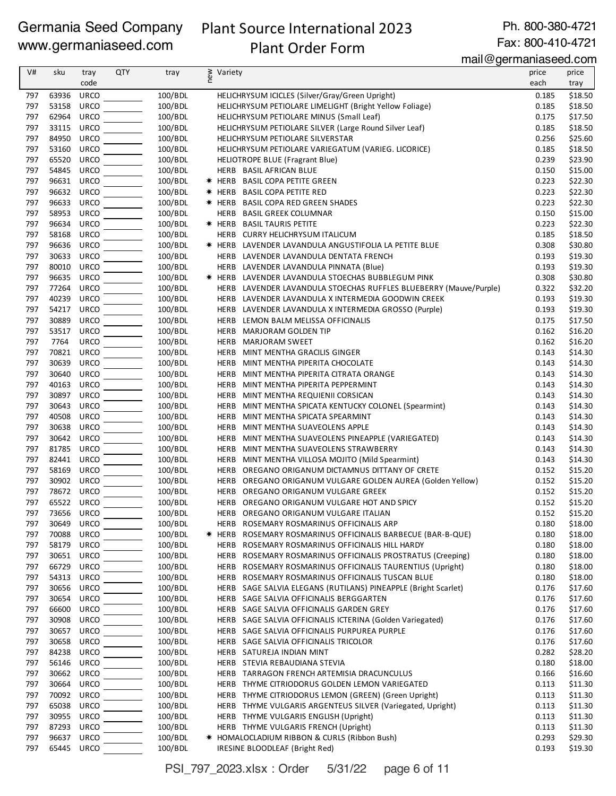## Plant Source International 2023 Plant Order Form

Ph. 800-380-4721

## Fax: 800-410-4721

mail@germaniaseed.com

| V#         | sku        |             | <b>QTY</b> |                    |     | $1.1812$ $901118118000000000$                                     |               |                    |
|------------|------------|-------------|------------|--------------------|-----|-------------------------------------------------------------------|---------------|--------------------|
|            |            | tray        |            | tray               | new | Variety                                                           | price<br>each | price              |
|            |            | code        |            |                    |     |                                                                   |               | tray               |
| 797        | 63936      | <b>URCO</b> |            | 100/BDL            |     | HELICHRYSUM ICICLES (Silver/Gray/Green Upright)                   | 0.185         | \$18.50            |
| 797        | 53158      | <b>URCO</b> |            | 100/BDL            |     | HELICHRYSUM PETIOLARE LIMELIGHT (Bright Yellow Foliage)           | 0.185         | \$18.50            |
| 797        | 62964      | <b>URCO</b> |            | 100/BDL            |     | HELICHRYSUM PETIOLARE MINUS (Small Leaf)                          | 0.175         | \$17.50            |
| 797        | 33115      | <b>URCO</b> |            | 100/BDL            |     | HELICHRYSUM PETIOLARE SILVER (Large Round Silver Leaf)            | 0.185         | \$18.50            |
| 797        | 84950      | <b>URCO</b> |            | 100/BDL            |     | HELICHRYSUM PETIOLARE SILVERSTAR                                  | 0.256         | \$25.60            |
| 797        | 53160      | <b>URCO</b> |            | 100/BDL            |     | HELICHRYSUM PETIOLARE VARIEGATUM (VARIEG. LICORICE)               | 0.185         | \$18.50            |
| 797        | 65520      | <b>URCO</b> |            | 100/BDL            |     | HELIOTROPE BLUE (Fragrant Blue)                                   | 0.239         | \$23.90            |
| 797        | 54845      | <b>URCO</b> |            | 100/BDL            |     | HERB BASIL AFRICAN BLUE                                           | 0.150         | \$15.00            |
| 797        | 96631      | <b>URCO</b> |            | 100/BDL            |     | * HERB BASIL COPA PETITE GREEN                                    | 0.223         | \$22.30            |
| 797        | 96632      | <b>URCO</b> |            | 100/BDL            |     | * HERB BASIL COPA PETITE RED                                      | 0.223         | \$22.30            |
| 797        | 96633      | <b>URCO</b> |            | 100/BDL            |     | * HERB BASIL COPA RED GREEN SHADES                                | 0.223         | \$22.30            |
| 797        | 58953      | <b>URCO</b> |            | 100/BDL            |     | HERB BASIL GREEK COLUMNAR                                         | 0.150         | \$15.00            |
| 797        | 96634      | <b>URCO</b> |            | 100/BDL            |     | * HERB BASIL TAURIS PETITE                                        | 0.223         | \$22.30            |
| 797        | 58168      | <b>URCO</b> |            | 100/BDL            |     | HERB CURRY HELICHRYSUM ITALICUM                                   | 0.185         | \$18.50            |
| 797        | 96636      | <b>URCO</b> |            | 100/BDL            |     | * HERB LAVENDER LAVANDULA ANGUSTIFOLIA LA PETITE BLUE             | 0.308         | \$30.80            |
| 797        | 30633      | <b>URCO</b> |            | 100/BDL            |     | HERB LAVENDER LAVANDULA DENTATA FRENCH                            | 0.193         | \$19.30            |
| 797        | 80010      | <b>URCO</b> |            | 100/BDL            |     | HERB LAVENDER LAVANDULA PINNATA (Blue)                            | 0.193         | \$19.30            |
| 797        | 96635      | <b>URCO</b> |            | 100/BDL            |     | * HERB LAVENDER LAVANDULA STOECHAS BUBBLEGUM PINK                 | 0.308         | \$30.80            |
| 797        | 77264      | <b>URCO</b> |            | 100/BDL            |     | HERB LAVENDER LAVANDULA STOECHAS RUFFLES BLUEBERRY (Mauve/Purple) | 0.322         | \$32.20            |
| 797        | 40239      | <b>URCO</b> |            | 100/BDL            |     | HERB LAVENDER LAVANDULA X INTERMEDIA GOODWIN CREEK                | 0.193         | \$19.30            |
| 797        | 54217      | <b>URCO</b> |            | 100/BDL            |     | HERB LAVENDER LAVANDULA X INTERMEDIA GROSSO (Purple)              | 0.193         | \$19.30            |
| 797        | 30889      | <b>URCO</b> |            | 100/BDL            |     | HERB<br>LEMON BALM MELISSA OFFICINALIS                            | 0.175         | \$17.50            |
| 797        | 53517      | <b>URCO</b> |            | 100/BDL            |     | <b>MARJORAM GOLDEN TIP</b><br>HERB                                | 0.162         | \$16.20            |
| 797        | 7764       | <b>URCO</b> |            | 100/BDL            |     | HERB<br><b>MARJORAM SWEET</b>                                     | 0.162         | \$16.20            |
| 797        | 70821      | <b>URCO</b> |            | 100/BDL            |     | HERB<br>MINT MENTHA GRACILIS GINGER                               | 0.143         | \$14.30            |
| 797        | 30639      | <b>URCO</b> |            | 100/BDL            |     | HERB<br>MINT MENTHA PIPERITA CHOCOLATE                            | 0.143         | \$14.30            |
| 797        | 30640      | <b>URCO</b> |            | 100/BDL            |     | <b>HERB</b><br>MINT MENTHA PIPERITA CITRATA ORANGE                | 0.143         | \$14.30            |
| 797        | 40163      | <b>URCO</b> |            | 100/BDL            |     | MINT MENTHA PIPERITA PEPPERMINT<br>HERB                           | 0.143         | \$14.30            |
| 797        | 30897      | <b>URCO</b> |            | 100/BDL            |     | HERB<br>MINT MENTHA REQUIENII CORSICAN                            | 0.143         | \$14.30            |
| 797        | 30643      | <b>URCO</b> |            | 100/BDL            |     | HERB<br>MINT MENTHA SPICATA KENTUCKY COLONEL (Spearmint)          | 0.143         | \$14.30            |
| 797        | 40508      | <b>URCO</b> |            | 100/BDL            |     | <b>HERB</b><br>MINT MENTHA SPICATA SPEARMINT                      | 0.143         | \$14.30            |
| 797        | 30638      | <b>URCO</b> |            | 100/BDL            |     | MINT MENTHA SUAVEOLENS APPLE<br>HERB                              | 0.143         | \$14.30            |
| 797        | 30642      | <b>URCO</b> |            | 100/BDL            |     | HERB<br>MINT MENTHA SUAVEOLENS PINEAPPLE (VARIEGATED)             | 0.143         | \$14.30            |
| 797        | 81785      | <b>URCO</b> |            | 100/BDL            |     | HERB<br>MINT MENTHA SUAVEOLENS STRAWBERRY                         | 0.143         | \$14.30            |
| 797        | 82441      | <b>URCO</b> |            | 100/BDL            |     | MINT MENTHA VILLOSA MOJITO (Mild Spearmint)<br>HERB               | 0.143         | \$14.30            |
| 797        | 58169      | <b>URCO</b> |            | 100/BDL            |     | OREGANO ORIGANUM DICTAMNUS DITTANY OF CRETE<br>HERB               | 0.152         | \$15.20            |
| 797        | 30902      | <b>URCO</b> |            | 100/BDL            |     | OREGANO ORIGANUM VULGARE GOLDEN AUREA (Golden Yellow)<br>HERB     | 0.152         | \$15.20            |
| 797        | 78672      | <b>URCO</b> |            | 100/BDL            |     | HERB<br>OREGANO ORIGANUM VULGARE GREEK                            | 0.152         | \$15.20            |
| 797        | 65522 URCO |             |            | 100/BDL            |     | HERB OREGANO ORIGANUM VULGARE HOT AND SPICY                       | 0.152         | \$15.20            |
| 797        | 73656 URCO |             |            | 100/BDL            |     | HERB OREGANO ORIGANUM VULGARE ITALIAN                             | 0.152         | \$15.20            |
| 797        | 30649      | <b>URCO</b> |            | 100/BDL            |     | HERB ROSEMARY ROSMARINUS OFFICINALIS ARP                          | 0.180         | \$18.00            |
| 797        | 70088      | URCO        |            | 100/BDL            |     | $*$ HERB<br>ROSEMARY ROSMARINUS OFFICINALIS BARBECUE (BAR-B-QUE)  | 0.180         | \$18.00            |
| 797        | 58179      | <b>URCO</b> |            | 100/BDL            |     | HERB ROSEMARY ROSMARINUS OFFICINALIS HILL HARDY                   | 0.180         | \$18.00            |
| 797        | 30651      | URCO        |            | 100/BDL            |     | HERB ROSEMARY ROSMARINUS OFFICINALIS PROSTRATUS (Creeping)        | 0.180         | \$18.00            |
| 797        | 66729      | <b>URCO</b> |            | 100/BDL            |     | HERB ROSEMARY ROSMARINUS OFFICINALIS TAURENTIUS (Upright)         | 0.180         | \$18.00            |
| 797        | 54313      | <b>URCO</b> |            | 100/BDL            |     | HERB ROSEMARY ROSMARINUS OFFICINALIS TUSCAN BLUE                  | 0.180         | \$18.00            |
|            | 30656      | <b>URCO</b> |            | 100/BDL            |     | HERB SAGE SALVIA ELEGANS (RUTILANS) PINEAPPLE (Bright Scarlet)    | 0.176         |                    |
| 797        | 30654      | <b>URCO</b> |            |                    |     | HERB SAGE SALVIA OFFICINALIS BERGGARTEN                           | 0.176         | \$17.60            |
| 797<br>797 | 66600      | <b>URCO</b> |            | 100/BDL<br>100/BDL |     | HERB SAGE SALVIA OFFICINALIS GARDEN GREY                          | 0.176         | \$17.60<br>\$17.60 |
|            |            |             |            | 100/BDL            |     |                                                                   |               |                    |
| 797        | 30908      | <b>URCO</b> |            |                    |     | HERB SAGE SALVIA OFFICINALIS ICTERINA (Golden Variegated)         | 0.176         | \$17.60            |
| 797        | 30657      | <b>URCO</b> |            | 100/BDL            |     | HERB SAGE SALVIA OFFICINALIS PURPUREA PURPLE                      | 0.176         | \$17.60            |
| 797        | 30658      | <b>URCO</b> |            | 100/BDL            |     | HERB SAGE SALVIA OFFICINALIS TRICOLOR                             | 0.176         | \$17.60            |
| 797        | 84238      | <b>URCO</b> |            | 100/BDL            |     | HERB SATUREJA INDIAN MINT                                         | 0.282         | \$28.20            |
| 797        | 56146      | <b>URCO</b> |            | 100/BDL            |     | HERB STEVIA REBAUDIANA STEVIA                                     | 0.180         | \$18.00            |
| 797        | 30662      | <b>URCO</b> |            | 100/BDL            |     | HERB TARRAGON FRENCH ARTEMISIA DRACUNCULUS                        | 0.166         | \$16.60            |
| 797        | 30664      | <b>URCO</b> |            | 100/BDL            |     | HERB THYME CITRIODORUS GOLDEN LEMON VARIEGATED                    | 0.113         | \$11.30            |
| 797        | 70092      | <b>URCO</b> |            | 100/BDL            |     | HERB THYME CITRIODORUS LEMON (GREEN) (Green Upright)              | 0.113         | \$11.30            |
| 797        | 65038      | <b>URCO</b> |            | 100/BDL            |     | HERB THYME VULGARIS ARGENTEUS SILVER (Variegated, Upright)        | 0.113         | \$11.30            |
| 797        | 30955      | <b>URCO</b> |            | 100/BDL            |     | HERB THYME VULGARIS ENGLISH (Upright)                             | 0.113         | \$11.30            |
| 797        | 87293      | <b>URCO</b> |            | 100/BDL            |     | HERB THYME VULGARIS FRENCH (Upright)                              | 0.113         | \$11.30            |
| 797        | 96637      | <b>URCO</b> |            | 100/BDL            |     | * HOMALOCLADIUM RIBBON & CURLS (Ribbon Bush)                      | 0.293         | \$29.30            |
| 797        | 65445      | <b>URCO</b> |            | 100/BDL            |     | IRESINE BLOODLEAF (Bright Red)                                    | 0.193         | \$19.30            |

PSI\_797\_2023.xlsx : Order 5/31/22 page 6 of 11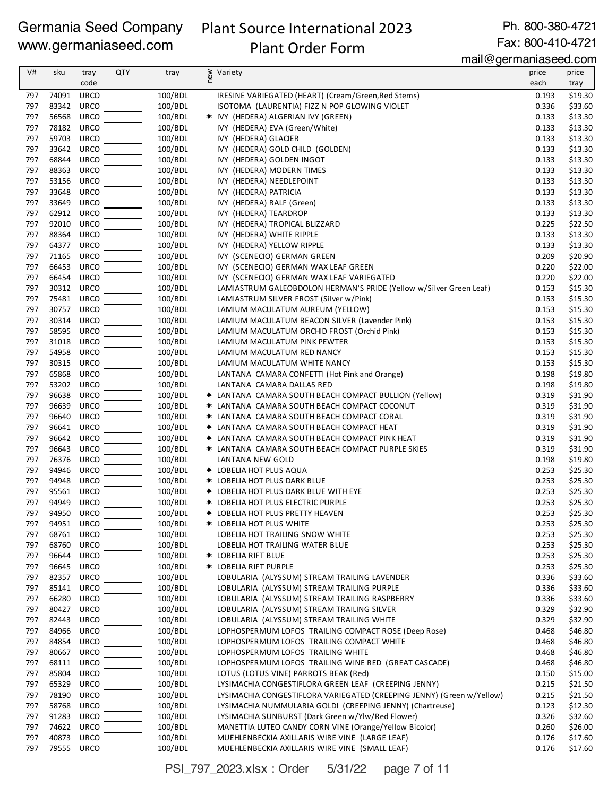## Plant Source International 2023 Plant Order Form

Ph. 800-380-4721 Fax: 800-410-4721

mail@germaniaseed.com

|            |                |                            |            |                    | $\frac{1}{2}$ lilaile yo $\frac{1}{2}$ lilaillasoo uu                                     |                |                    |
|------------|----------------|----------------------------|------------|--------------------|-------------------------------------------------------------------------------------------|----------------|--------------------|
| V#         | sku            | tray<br>code               | <b>QTY</b> | tray               | ≥ Variety<br>E                                                                            | price<br>each  | price<br>tray      |
| 797        | 74091          | <b>URCO</b>                |            | 100/BDL            | IRESINE VARIEGATED (HEART) (Cream/Green, Red Stems)                                       | 0.193          | \$19.30            |
| 797        | 83342          | <b>URCO</b>                |            | 100/BDL            | ISOTOMA (LAURENTIA) FIZZ N POP GLOWING VIOLET                                             | 0.336          | \$33.60            |
| 797        | 56568          | <b>URCO</b>                |            | 100/BDL            | * IVY (HEDERA) ALGERIAN IVY (GREEN)                                                       | 0.133          | \$13.30            |
| 797        | 78182          | URCO                       |            | 100/BDL            | IVY (HEDERA) EVA (Green/White)                                                            | 0.133          | \$13.30            |
| 797        | 59703          | <b>URCO</b>                |            | 100/BDL            | IVY (HEDERA) GLACIER                                                                      | 0.133          | \$13.30            |
| 797        | 33642          | <b>URCO</b>                |            | 100/BDL            | IVY (HEDERA) GOLD CHILD (GOLDEN)                                                          | 0.133          | \$13.30            |
| 797        | 68844          | <b>URCO</b>                |            | 100/BDL            | IVY (HEDERA) GOLDEN INGOT                                                                 | 0.133          | \$13.30            |
| 797        | 88363          | <b>URCO</b>                |            | 100/BDL            | IVY (HEDERA) MODERN TIMES                                                                 | 0.133          | \$13.30            |
| 797        | 53156          | <b>URCO</b>                |            | 100/BDL            | IVY (HEDERA) NEEDLEPOINT                                                                  | 0.133          | \$13.30            |
| 797        | 33648          | <b>URCO</b>                |            | 100/BDL            | IVY (HEDERA) PATRICIA                                                                     | 0.133          | \$13.30            |
| 797        | 33649          | <b>URCO</b>                |            | 100/BDL            | IVY (HEDERA) RALF (Green)                                                                 | 0.133          | \$13.30            |
| 797        | 62912          | <b>URCO</b>                |            | 100/BDL            | IVY (HEDERA) TEARDROP                                                                     | 0.133          | \$13.30            |
| 797        | 92010          | <b>URCO</b>                |            | 100/BDL            | IVY (HEDERA) TROPICAL BLIZZARD                                                            | 0.225          | \$22.50            |
| 797        | 88364          | <b>URCO</b>                |            | 100/BDL            | IVY (HEDERA) WHITE RIPPLE                                                                 | 0.133          | \$13.30            |
| 797        | 64377          | URCO                       |            | 100/BDL            | IVY (HEDERA) YELLOW RIPPLE                                                                | 0.133          | \$13.30            |
| 797        | 71165          | <b>URCO</b>                |            | 100/BDL            | IVY (SCENECIO) GERMAN GREEN                                                               | 0.209          | \$20.90            |
| 797        | 66453          | <b>URCO</b>                |            | 100/BDL            | IVY (SCENECIO) GERMAN WAX LEAF GREEN                                                      | 0.220          | \$22.00            |
| 797        | 66454          | <b>URCO</b>                |            | 100/BDL            | IVY (SCENECIO) GERMAN WAX LEAF VARIEGATED                                                 | 0.220          | \$22.00            |
| 797        | 30312          | <b>URCO</b>                |            | 100/BDL            | LAMIASTRUM GALEOBDOLON HERMAN'S PRIDE (Yellow w/Silver Green Leaf)                        | 0.153          | \$15.30            |
| 797        | 75481          | <b>URCO</b>                |            | 100/BDL            | LAMIASTRUM SILVER FROST (Silver w/Pink)                                                   | 0.153          | \$15.30            |
| 797        | 30757          | <b>URCO</b>                |            | 100/BDL            | LAMIUM MACULATUM AUREUM (YELLOW)                                                          | 0.153          | \$15.30            |
| 797        | 30314          | <b>URCO</b>                |            | 100/BDL            | LAMIUM MACULATUM BEACON SILVER (Lavender Pink)                                            | 0.153          | \$15.30<br>\$15.30 |
| 797<br>797 | 58595<br>31018 | <b>URCO</b><br><b>URCO</b> |            | 100/BDL            | LAMIUM MACULATUM ORCHID FROST (Orchid Pink)                                               | 0.153<br>0.153 | \$15.30            |
| 797        | 54958          | <b>URCO</b>                |            | 100/BDL<br>100/BDL | LAMIUM MACULATUM PINK PEWTER                                                              | 0.153          | \$15.30            |
| 797        | 30315          | URCO                       |            | 100/BDL            | LAMIUM MACULATUM RED NANCY<br>LAMIUM MACULATUM WHITE NANCY                                | 0.153          | \$15.30            |
| 797        | 65868          | <b>URCO</b>                |            | 100/BDL            | LANTANA CAMARA CONFETTI (Hot Pink and Orange)                                             | 0.198          | \$19.80            |
| 797        | 53202          | <b>URCO</b>                |            | 100/BDL            | LANTANA CAMARA DALLAS RED                                                                 | 0.198          | \$19.80            |
| 797        | 96638          | <b>URCO</b>                |            | 100/BDL            | * LANTANA CAMARA SOUTH BEACH COMPACT BULLION (Yellow)                                     | 0.319          | \$31.90            |
| 797        | 96639          | <b>URCO</b>                |            | 100/BDL            | * LANTANA CAMARA SOUTH BEACH COMPACT COCONUT                                              | 0.319          | \$31.90            |
| 797        | 96640          | <b>URCO</b>                |            | 100/BDL            | * LANTANA CAMARA SOUTH BEACH COMPACT CORAL                                                | 0.319          | \$31.90            |
| 797        | 96641          | <b>URCO</b>                |            | 100/BDL            | * LANTANA CAMARA SOUTH BEACH COMPACT HEAT                                                 | 0.319          | \$31.90            |
| 797        | 96642          | <b>URCO</b>                |            | 100/BDL            | * LANTANA CAMARA SOUTH BEACH COMPACT PINK HEAT                                            | 0.319          | \$31.90            |
| 797        | 96643          | <b>URCO</b>                |            | 100/BDL            | * LANTANA CAMARA SOUTH BEACH COMPACT PURPLE SKIES                                         | 0.319          | \$31.90            |
| 797        | 76376          | <b>URCO</b>                |            | 100/BDL            | LANTANA NEW GOLD                                                                          | 0.198          | \$19.80            |
| 797        | 94946          | <b>URCO</b>                |            | 100/BDL            | * LOBELIA HOT PLUS AQUA                                                                   | 0.253          | \$25.30            |
| 797        | 94948          | <b>URCO</b>                |            | 100/BDL            | <b>* LOBELIA HOT PLUS DARK BLUE</b>                                                       | 0.253          | \$25.30            |
| 797        | 95561 URCO     |                            |            | 100/BDL            | * LOBELIA HOT PLUS DARK BLUE WITH EYE                                                     | 0.253          | \$25.30            |
| 797        | 94949          | <b>URCO</b>                |            | 100/BDL            | * LOBELIA HOT PLUS ELECTRIC PURPLE                                                        | 0.253          | \$25.30            |
| 797        | 94950 URCO     |                            |            | 100/BDL            | * LOBELIA HOT PLUS PRETTY HEAVEN                                                          | 0.253          | \$25.30            |
| 797        | 94951          | URCO                       |            | 100/BDL            | * LOBELIA HOT PLUS WHITE                                                                  | 0.253          | \$25.30            |
| 797        | 68761          | <b>URCO</b>                |            | 100/BDL            | LOBELIA HOT TRAILING SNOW WHITE                                                           | 0.253          | \$25.30            |
| 797        | 68760          | <b>URCO</b>                |            | 100/BDL            | LOBELIA HOT TRAILING WATER BLUE                                                           | 0.253          | \$25.30            |
| 797        | 96644          | <b>URCO</b>                |            | 100/BDL            | <b>* LOBELIA RIFT BLUE</b>                                                                | 0.253          | \$25.30            |
| 797        | 96645          | <b>URCO</b>                |            | 100/BDL            | <b>* LOBELIA RIFT PURPLE</b>                                                              | 0.253          | \$25.30            |
| 797        | 82357          | <b>URCO</b>                |            | 100/BDL            | LOBULARIA (ALYSSUM) STREAM TRAILING LAVENDER                                              | 0.336          | \$33.60            |
| 797        | 85141          | <b>URCO</b>                |            | 100/BDL            | LOBULARIA (ALYSSUM) STREAM TRAILING PURPLE                                                | 0.336          | \$33.60            |
| 797        | 66280          | <b>URCO</b>                |            | 100/BDL            | LOBULARIA (ALYSSUM) STREAM TRAILING RASPBERRY                                             | 0.336          | \$33.60            |
| 797        | 80427          | <b>URCO</b>                |            | 100/BDL            | LOBULARIA (ALYSSUM) STREAM TRAILING SILVER                                                | 0.329          | \$32.90            |
| 797        | 82443          | <b>URCO</b>                |            | 100/BDL            | LOBULARIA (ALYSSUM) STREAM TRAILING WHITE                                                 | 0.329          | \$32.90            |
| 797        | 84966          | <b>URCO</b>                |            | 100/BDL            | LOPHOSPERMUM LOFOS TRAILING COMPACT ROSE (Deep Rose)                                      | 0.468          | \$46.80            |
| 797        | 84854<br>80667 | <b>URCO</b><br><b>URCO</b> |            | 100/BDL            | LOPHOSPERMUM LOFOS TRAILING COMPACT WHITE                                                 | 0.468<br>0.468 | \$46.80            |
| 797<br>797 | 68111          | <b>URCO</b>                |            | 100/BDL<br>100/BDL | LOPHOSPERMUM LOFOS TRAILING WHITE<br>LOPHOSPERMUM LOFOS TRAILING WINE RED (GREAT CASCADE) | 0.468          | \$46.80<br>\$46.80 |
| 797        | 85804          | <b>URCO</b>                |            | 100/BDL            | LOTUS (LOTUS VINE) PARROTS BEAK (Red)                                                     | 0.150          | \$15.00            |
| 797        | 65329          | <b>URCO</b>                |            | 100/BDL            | LYSIMACHIA CONGESTIFLORA GREEN LEAF (CREEPING JENNY)                                      | 0.215          | \$21.50            |
| 797        | 78190          | <b>URCO</b>                |            | 100/BDL            | LYSIMACHIA CONGESTIFLORA VARIEGATED (CREEPING JENNY) (Green w/Yellow)                     | 0.215          | \$21.50            |
| 797        | 58768          | <b>URCO</b>                |            | 100/BDL            | LYSIMACHIA NUMMULARIA GOLDI (CREEPING JENNY) (Chartreuse)                                 | 0.123          | \$12.30            |
| 797        | 91283          | <b>URCO</b>                |            | 100/BDL            | LYSIMACHIA SUNBURST (Dark Green w/Ylw/Red Flower)                                         | 0.326          | \$32.60            |
| 797        | 74622          | <b>URCO</b>                |            | 100/BDL            | MANETTIA LUTEO CANDY CORN VINE (Orange/Yellow Bicolor)                                    | 0.260          | \$26.00            |
| 797        | 40873          | <b>URCO</b>                |            | 100/BDL            | MUEHLENBECKIA AXILLARIS WIRE VINE (LARGE LEAF)                                            | 0.176          | \$17.60            |
| 797        | 79555 URCO     |                            |            | 100/BDL            | MUEHLENBECKIA AXILLARIS WIRE VINE (SMALL LEAF)                                            | 0.176          | \$17.60            |

PSI\_797\_2023.xlsx : Order 5/31/22 page 7 of 11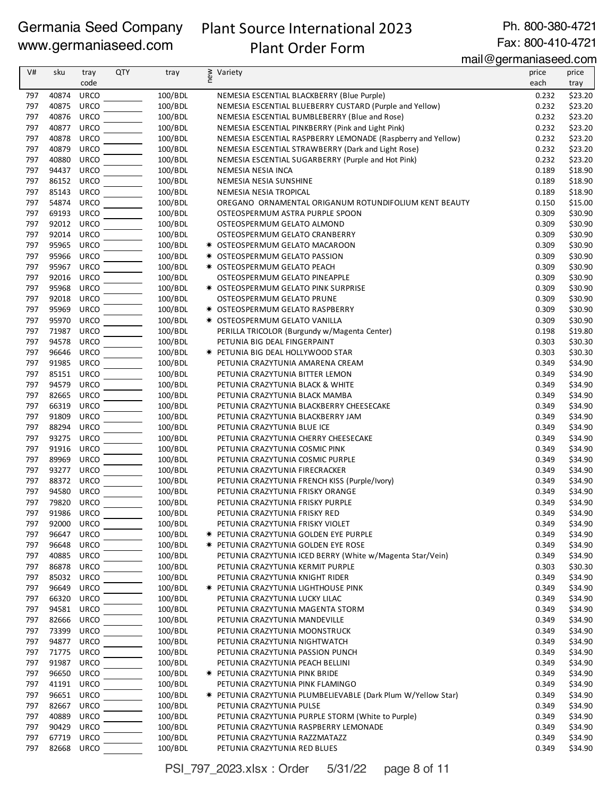## Plant Source International 2023 Plant Order Form

Ph. 800-380-4721

Fax: 800-410-4721 mail@germaniaseed.com

| tray<br>100/BDL<br>\$23.20<br>40874<br><b>URCO</b><br>NEMESIA ESCENTIAL BLACKBERRY (Blue Purple)<br>0.232<br>797<br>40875<br><b>URCO</b><br>100/BDL<br>0.232<br>\$23.20<br>797<br>NEMESIA ESCENTIAL BLUEBERRY CUSTARD (Purple and Yellow)<br>797<br>40876<br>URCO<br>100/BDL<br>0.232<br>NEMESIA ESCENTIAL BUMBLEBERRY (Blue and Rose)<br>\$23.20<br>797<br>40877<br><b>URCO</b><br>100/BDL<br>\$23.20<br>NEMESIA ESCENTIAL PINKBERRY (Pink and Light Pink)<br>0.232<br>797<br>40878<br><b>URCO</b><br>100/BDL<br>NEMESIA ESCENTIAL RASPBERRY LEMONADE (Raspberry and Yellow)<br>0.232<br>\$23.20<br>797<br>40879<br><b>URCO</b><br>\$23.20<br>100/BDL<br>NEMESIA ESCENTIAL STRAWBERRY (Dark and Light Rose)<br>0.232<br><b>URCO</b><br>797<br>40880<br>100/BDL<br>NEMESIA ESCENTIAL SUGARBERRY (Purple and Hot Pink)<br>0.232<br>\$23.20<br><b>URCO</b><br>100/BDL<br>797<br>94437<br>0.189<br>\$18.90<br>NEMESIA NESIA INCA<br>797<br>86152<br><b>URCO</b><br>100/BDL<br>\$18.90<br>NEMESIA NESIA SUNSHINE<br>0.189<br>797<br>85143<br><b>URCO</b><br>100/BDL<br>\$18.90<br>NEMESIA NESIA TROPICAL<br>0.189<br>54874<br>100/BDL<br>797<br><b>URCO</b><br>0.150<br>\$15.00<br>OREGANO ORNAMENTAL ORIGANUM ROTUNDIFOLIUM KENT BEAUTY<br>797<br>69193<br><b>URCO</b><br>100/BDL<br>\$30.90<br>OSTEOSPERMUM ASTRA PURPLE SPOON<br>0.309<br>92012<br>URCO<br>100/BDL<br>797<br>OSTEOSPERMUM GELATO ALMOND<br>0.309<br>\$30.90<br>797<br>92014<br><b>URCO</b><br>100/BDL<br>0.309<br>\$30.90<br>OSTEOSPERMUM GELATO CRANBERRY<br>797<br>95965<br><b>URCO</b><br>100/BDL<br>0.309<br>\$30.90<br>* OSTEOSPERMUM GELATO MACAROON<br>95966<br><b>URCO</b><br>797<br>100/BDL<br>0.309<br>\$30.90<br>* OSTEOSPERMUM GELATO PASSION<br>100/BDL<br>797<br>95967<br><b>URCO</b><br>* OSTEOSPERMUM GELATO PEACH<br>0.309<br>\$30.90<br>797<br>92016<br><b>URCO</b><br>100/BDL<br>\$30.90<br>OSTEOSPERMUM GELATO PINEAPPLE<br>0.309<br>797<br>95968<br><b>URCO</b><br>100/BDL<br>0.309<br>\$30.90<br>* OSTEOSPERMUM GELATO PINK SURPRISE<br><b>URCO</b><br>100/BDL<br>797<br>92018<br>OSTEOSPERMUM GELATO PRUNE<br>0.309<br>\$30.90<br>95969<br><b>URCO</b><br>797<br>100/BDL<br>* OSTEOSPERMUM GELATO RASPBERRY<br>0.309<br>\$30.90<br>797<br>95970<br>URCO<br>100/BDL<br>* OSTEOSPERMUM GELATO VANILLA<br>0.309<br>\$30.90<br>797<br>71987<br><b>URCO</b><br>100/BDL<br>PERILLA TRICOLOR (Burgundy w/Magenta Center)<br>0.198<br>\$19.80<br>797<br>94578<br><b>URCO</b><br>100/BDL<br>PETUNIA BIG DEAL FINGERPAINT<br>0.303<br>\$30.30<br>96646<br><b>URCO</b><br>100/BDL<br>797<br>\$30.30<br>* PETUNIA BIG DEAL HOLLYWOOD STAR<br>0.303<br>100/BDL<br>797<br>91985<br><b>URCO</b><br>0.349<br>\$34.90<br>PETUNIA CRAZYTUNIA AMARENA CREAM<br><b>URCO</b><br>797<br>85151<br>100/BDL<br>\$34.90<br>PETUNIA CRAZYTUNIA BITTER LEMON<br>0.349<br>797<br>94579<br><b>URCO</b><br>\$34.90<br>100/BDL<br>0.349<br>PETUNIA CRAZYTUNIA BLACK & WHITE<br>797<br>82665<br><b>URCO</b><br>100/BDL<br>0.349<br>\$34.90<br>PETUNIA CRAZYTUNIA BLACK MAMBA<br>66319<br><b>URCO</b><br>100/BDL<br>\$34.90<br>797<br>PETUNIA CRAZYTUNIA BLACKBERRY CHEESECAKE<br>0.349<br>797<br>91809<br><b>URCO</b><br>100/BDL<br>PETUNIA CRAZYTUNIA BLACKBERRY JAM<br>0.349<br>\$34.90<br>797<br>88294<br><b>URCO</b><br>100/BDL<br>PETUNIA CRAZYTUNIA BLUE ICE<br>0.349<br>\$34.90<br>797<br>93275<br><b>URCO</b><br>100/BDL<br>0.349<br>\$34.90<br>PETUNIA CRAZYTUNIA CHERRY CHEESECAKE<br>91916<br><b>URCO</b><br>100/BDL<br>797<br>0.349<br>\$34.90<br>PETUNIA CRAZYTUNIA COSMIC PINK<br>100/BDL<br>797<br>89969<br><b>URCO</b><br>PETUNIA CRAZYTUNIA COSMIC PURPLE<br>0.349<br>\$34.90<br>797<br>93277<br><b>URCO</b><br>100/BDL<br>\$34.90<br>PETUNIA CRAZYTUNIA FIRECRACKER<br>0.349<br>88372<br>797<br><b>URCO</b><br>100/BDL<br>0.349<br>\$34.90<br>PETUNIA CRAZYTUNIA FRENCH KISS (Purple/Ivory)<br>94580<br><b>URCO</b><br>797<br>100/BDL<br>\$34.90<br>PETUNIA CRAZYTUNIA FRISKY ORANGE<br>0.349<br>URCO<br>797<br>79820<br>100/BDL<br>0.349<br>\$34.90<br>PETUNIA CRAZYTUNIA FRISKY PURPLE<br>797<br>91986<br>URCO<br>100/BDL<br>0.349<br>\$34.90<br>PETUNIA CRAZYTUNIA FRISKY RED<br>92000<br>URCO<br>100/BDL<br>\$34.90<br>797<br>PETUNIA CRAZYTUNIA FRISKY VIOLET<br>0.349<br>96647<br><b>URCO</b><br>100/BDL<br>0.349<br>\$34.90<br>797<br><b>* PETUNIA CRAZYTUNIA GOLDEN EYE PURPLE</b><br>797<br>96648<br><b>URCO</b><br>100/BDL<br>0.349<br>\$34.90<br><b>★ PETUNIA CRAZYTUNIA GOLDEN EYE ROSE</b><br>40885<br><b>URCO</b><br>100/BDL<br>0.349<br>797<br>PETUNIA CRAZYTUNIA ICED BERRY (White w/Magenta Star/Vein)<br>\$34.90<br>86878<br>URCO<br>100/BDL<br>797<br>PETUNIA CRAZYTUNIA KERMIT PURPLE<br>0.303<br>\$30.30<br>797<br>85032<br><b>URCO</b><br>100/BDL<br>\$34.90<br>PETUNIA CRAZYTUNIA KNIGHT RIDER<br>0.349<br>96649<br><b>URCO</b><br>100/BDL<br>797<br><b>★ PETUNIA CRAZYTUNIA LIGHTHOUSE PINK</b><br>0.349<br>\$34.90<br>66320<br><b>URCO</b><br>100/BDL<br>\$34.90<br>797<br>PETUNIA CRAZYTUNIA LUCKY LILAC<br>0.349<br>URCO<br>797<br>94581<br>100/BDL<br>PETUNIA CRAZYTUNIA MAGENTA STORM<br>0.349<br>\$34.90<br>797<br>82666<br>URCO<br>100/BDL<br>0.349<br>\$34.90<br>PETUNIA CRAZYTUNIA MANDEVILLE<br>73399<br><b>URCO</b><br>100/BDL<br>0.349<br>\$34.90<br>797<br>PETUNIA CRAZYTUNIA MOONSTRUCK<br>797<br>94877<br><b>URCO</b><br>100/BDL<br>0.349<br>\$34.90<br>PETUNIA CRAZYTUNIA NIGHTWATCH<br>71775<br><b>URCO</b><br>100/BDL<br>0.349<br>797<br>PETUNIA CRAZYTUNIA PASSION PUNCH<br>\$34.90<br>797<br>91987<br>URCO<br>100/BDL<br>PETUNIA CRAZYTUNIA PEACH BELLINI<br>0.349<br>\$34.90<br>96650<br><b>URCO</b><br>100/BDL<br>\$34.90<br>797<br><b>* PETUNIA CRAZYTUNIA PINK BRIDE</b><br>0.349<br>41191<br><b>URCO</b><br>100/BDL<br>797<br>PETUNIA CRAZYTUNIA PINK FLAMINGO<br>0.349<br>\$34.90<br><b>URCO</b><br>100/BDL<br>797<br>96651<br><b>★ PETUNIA CRAZYTUNIA PLUMBELIEVABLE (Dark Plum W/Yellow Star)</b><br>0.349<br>\$34.90<br><b>URCO</b><br>100/BDL<br>797<br>82667<br>PETUNIA CRAZYTUNIA PULSE<br>0.349<br>\$34.90<br>797<br>40889<br><b>URCO</b><br>100/BDL<br>\$34.90<br>PETUNIA CRAZYTUNIA PURPLE STORM (White to Purple)<br>0.349<br>797<br>90429<br><b>URCO</b><br>100/BDL<br>0.349<br>\$34.90<br>PETUNIA CRAZYTUNIA RASPBERRY LEMONADE<br>797<br>67719<br><b>URCO</b><br>100/BDL<br>0.349<br>\$34.90<br>PETUNIA CRAZYTUNIA RAZZMATAZZ<br>797<br>82668<br>URCO<br>100/BDL<br>\$34.90<br>PETUNIA CRAZYTUNIA RED BLUES<br>0.349 | V# | sku | tray | <b>QTY</b> | tray | ≥ Variety<br>E | price | price |
|------------------------------------------------------------------------------------------------------------------------------------------------------------------------------------------------------------------------------------------------------------------------------------------------------------------------------------------------------------------------------------------------------------------------------------------------------------------------------------------------------------------------------------------------------------------------------------------------------------------------------------------------------------------------------------------------------------------------------------------------------------------------------------------------------------------------------------------------------------------------------------------------------------------------------------------------------------------------------------------------------------------------------------------------------------------------------------------------------------------------------------------------------------------------------------------------------------------------------------------------------------------------------------------------------------------------------------------------------------------------------------------------------------------------------------------------------------------------------------------------------------------------------------------------------------------------------------------------------------------------------------------------------------------------------------------------------------------------------------------------------------------------------------------------------------------------------------------------------------------------------------------------------------------------------------------------------------------------------------------------------------------------------------------------------------------------------------------------------------------------------------------------------------------------------------------------------------------------------------------------------------------------------------------------------------------------------------------------------------------------------------------------------------------------------------------------------------------------------------------------------------------------------------------------------------------------------------------------------------------------------------------------------------------------------------------------------------------------------------------------------------------------------------------------------------------------------------------------------------------------------------------------------------------------------------------------------------------------------------------------------------------------------------------------------------------------------------------------------------------------------------------------------------------------------------------------------------------------------------------------------------------------------------------------------------------------------------------------------------------------------------------------------------------------------------------------------------------------------------------------------------------------------------------------------------------------------------------------------------------------------------------------------------------------------------------------------------------------------------------------------------------------------------------------------------------------------------------------------------------------------------------------------------------------------------------------------------------------------------------------------------------------------------------------------------------------------------------------------------------------------------------------------------------------------------------------------------------------------------------------------------------------------------------------------------------------------------------------------------------------------------------------------------------------------------------------------------------------------------------------------------------------------------------------------------------------------------------------------------------------------------------------------------------------------------------------------------------------------------------------------------------------------------------------------------------------------------------------------------------------------------------------------------------------------------------------------------------------------------------------------------------------------------------------------------------------------------------------------------------------------------------------------------------------------------------------------------------------------------------------------------------------------------------------------------------------------------------------------------------------------------------------------------------------------------------------------------------------------------------------------------------------------------------------------------------------------------------------------------------------------------------------------------------------------------------------------------------------------------------------------------------------------------------------------------------------------------------------------------------------------------------------------------------------------------------------------------------------------------------------------------------------------------------------------------------------------------------------------------------------------------------------------------------------------------------------------------------------------------------------------------------------------------------------------------------------------------------------------------------------------------------------------------------------------------------------------------|----|-----|------|------------|------|----------------|-------|-------|
|                                                                                                                                                                                                                                                                                                                                                                                                                                                                                                                                                                                                                                                                                                                                                                                                                                                                                                                                                                                                                                                                                                                                                                                                                                                                                                                                                                                                                                                                                                                                                                                                                                                                                                                                                                                                                                                                                                                                                                                                                                                                                                                                                                                                                                                                                                                                                                                                                                                                                                                                                                                                                                                                                                                                                                                                                                                                                                                                                                                                                                                                                                                                                                                                                                                                                                                                                                                                                                                                                                                                                                                                                                                                                                                                                                                                                                                                                                                                                                                                                                                                                                                                                                                                                                                                                                                                                                                                                                                                                                                                                                                                                                                                                                                                                                                                                                                                                                                                                                                                                                                                                                                                                                                                                                                                                                                                                                                                                                                                                                                                                                                                                                                                                                                                                                                                                                                                                                                                                                                                                                                                                                                                                                                                                                                                                                                                                                                                                                                            |    |     | code |            |      |                | each  |       |
|                                                                                                                                                                                                                                                                                                                                                                                                                                                                                                                                                                                                                                                                                                                                                                                                                                                                                                                                                                                                                                                                                                                                                                                                                                                                                                                                                                                                                                                                                                                                                                                                                                                                                                                                                                                                                                                                                                                                                                                                                                                                                                                                                                                                                                                                                                                                                                                                                                                                                                                                                                                                                                                                                                                                                                                                                                                                                                                                                                                                                                                                                                                                                                                                                                                                                                                                                                                                                                                                                                                                                                                                                                                                                                                                                                                                                                                                                                                                                                                                                                                                                                                                                                                                                                                                                                                                                                                                                                                                                                                                                                                                                                                                                                                                                                                                                                                                                                                                                                                                                                                                                                                                                                                                                                                                                                                                                                                                                                                                                                                                                                                                                                                                                                                                                                                                                                                                                                                                                                                                                                                                                                                                                                                                                                                                                                                                                                                                                                                            |    |     |      |            |      |                |       |       |
|                                                                                                                                                                                                                                                                                                                                                                                                                                                                                                                                                                                                                                                                                                                                                                                                                                                                                                                                                                                                                                                                                                                                                                                                                                                                                                                                                                                                                                                                                                                                                                                                                                                                                                                                                                                                                                                                                                                                                                                                                                                                                                                                                                                                                                                                                                                                                                                                                                                                                                                                                                                                                                                                                                                                                                                                                                                                                                                                                                                                                                                                                                                                                                                                                                                                                                                                                                                                                                                                                                                                                                                                                                                                                                                                                                                                                                                                                                                                                                                                                                                                                                                                                                                                                                                                                                                                                                                                                                                                                                                                                                                                                                                                                                                                                                                                                                                                                                                                                                                                                                                                                                                                                                                                                                                                                                                                                                                                                                                                                                                                                                                                                                                                                                                                                                                                                                                                                                                                                                                                                                                                                                                                                                                                                                                                                                                                                                                                                                                            |    |     |      |            |      |                |       |       |
|                                                                                                                                                                                                                                                                                                                                                                                                                                                                                                                                                                                                                                                                                                                                                                                                                                                                                                                                                                                                                                                                                                                                                                                                                                                                                                                                                                                                                                                                                                                                                                                                                                                                                                                                                                                                                                                                                                                                                                                                                                                                                                                                                                                                                                                                                                                                                                                                                                                                                                                                                                                                                                                                                                                                                                                                                                                                                                                                                                                                                                                                                                                                                                                                                                                                                                                                                                                                                                                                                                                                                                                                                                                                                                                                                                                                                                                                                                                                                                                                                                                                                                                                                                                                                                                                                                                                                                                                                                                                                                                                                                                                                                                                                                                                                                                                                                                                                                                                                                                                                                                                                                                                                                                                                                                                                                                                                                                                                                                                                                                                                                                                                                                                                                                                                                                                                                                                                                                                                                                                                                                                                                                                                                                                                                                                                                                                                                                                                                                            |    |     |      |            |      |                |       |       |
|                                                                                                                                                                                                                                                                                                                                                                                                                                                                                                                                                                                                                                                                                                                                                                                                                                                                                                                                                                                                                                                                                                                                                                                                                                                                                                                                                                                                                                                                                                                                                                                                                                                                                                                                                                                                                                                                                                                                                                                                                                                                                                                                                                                                                                                                                                                                                                                                                                                                                                                                                                                                                                                                                                                                                                                                                                                                                                                                                                                                                                                                                                                                                                                                                                                                                                                                                                                                                                                                                                                                                                                                                                                                                                                                                                                                                                                                                                                                                                                                                                                                                                                                                                                                                                                                                                                                                                                                                                                                                                                                                                                                                                                                                                                                                                                                                                                                                                                                                                                                                                                                                                                                                                                                                                                                                                                                                                                                                                                                                                                                                                                                                                                                                                                                                                                                                                                                                                                                                                                                                                                                                                                                                                                                                                                                                                                                                                                                                                                            |    |     |      |            |      |                |       |       |
|                                                                                                                                                                                                                                                                                                                                                                                                                                                                                                                                                                                                                                                                                                                                                                                                                                                                                                                                                                                                                                                                                                                                                                                                                                                                                                                                                                                                                                                                                                                                                                                                                                                                                                                                                                                                                                                                                                                                                                                                                                                                                                                                                                                                                                                                                                                                                                                                                                                                                                                                                                                                                                                                                                                                                                                                                                                                                                                                                                                                                                                                                                                                                                                                                                                                                                                                                                                                                                                                                                                                                                                                                                                                                                                                                                                                                                                                                                                                                                                                                                                                                                                                                                                                                                                                                                                                                                                                                                                                                                                                                                                                                                                                                                                                                                                                                                                                                                                                                                                                                                                                                                                                                                                                                                                                                                                                                                                                                                                                                                                                                                                                                                                                                                                                                                                                                                                                                                                                                                                                                                                                                                                                                                                                                                                                                                                                                                                                                                                            |    |     |      |            |      |                |       |       |
|                                                                                                                                                                                                                                                                                                                                                                                                                                                                                                                                                                                                                                                                                                                                                                                                                                                                                                                                                                                                                                                                                                                                                                                                                                                                                                                                                                                                                                                                                                                                                                                                                                                                                                                                                                                                                                                                                                                                                                                                                                                                                                                                                                                                                                                                                                                                                                                                                                                                                                                                                                                                                                                                                                                                                                                                                                                                                                                                                                                                                                                                                                                                                                                                                                                                                                                                                                                                                                                                                                                                                                                                                                                                                                                                                                                                                                                                                                                                                                                                                                                                                                                                                                                                                                                                                                                                                                                                                                                                                                                                                                                                                                                                                                                                                                                                                                                                                                                                                                                                                                                                                                                                                                                                                                                                                                                                                                                                                                                                                                                                                                                                                                                                                                                                                                                                                                                                                                                                                                                                                                                                                                                                                                                                                                                                                                                                                                                                                                                            |    |     |      |            |      |                |       |       |
|                                                                                                                                                                                                                                                                                                                                                                                                                                                                                                                                                                                                                                                                                                                                                                                                                                                                                                                                                                                                                                                                                                                                                                                                                                                                                                                                                                                                                                                                                                                                                                                                                                                                                                                                                                                                                                                                                                                                                                                                                                                                                                                                                                                                                                                                                                                                                                                                                                                                                                                                                                                                                                                                                                                                                                                                                                                                                                                                                                                                                                                                                                                                                                                                                                                                                                                                                                                                                                                                                                                                                                                                                                                                                                                                                                                                                                                                                                                                                                                                                                                                                                                                                                                                                                                                                                                                                                                                                                                                                                                                                                                                                                                                                                                                                                                                                                                                                                                                                                                                                                                                                                                                                                                                                                                                                                                                                                                                                                                                                                                                                                                                                                                                                                                                                                                                                                                                                                                                                                                                                                                                                                                                                                                                                                                                                                                                                                                                                                                            |    |     |      |            |      |                |       |       |
|                                                                                                                                                                                                                                                                                                                                                                                                                                                                                                                                                                                                                                                                                                                                                                                                                                                                                                                                                                                                                                                                                                                                                                                                                                                                                                                                                                                                                                                                                                                                                                                                                                                                                                                                                                                                                                                                                                                                                                                                                                                                                                                                                                                                                                                                                                                                                                                                                                                                                                                                                                                                                                                                                                                                                                                                                                                                                                                                                                                                                                                                                                                                                                                                                                                                                                                                                                                                                                                                                                                                                                                                                                                                                                                                                                                                                                                                                                                                                                                                                                                                                                                                                                                                                                                                                                                                                                                                                                                                                                                                                                                                                                                                                                                                                                                                                                                                                                                                                                                                                                                                                                                                                                                                                                                                                                                                                                                                                                                                                                                                                                                                                                                                                                                                                                                                                                                                                                                                                                                                                                                                                                                                                                                                                                                                                                                                                                                                                                                            |    |     |      |            |      |                |       |       |
|                                                                                                                                                                                                                                                                                                                                                                                                                                                                                                                                                                                                                                                                                                                                                                                                                                                                                                                                                                                                                                                                                                                                                                                                                                                                                                                                                                                                                                                                                                                                                                                                                                                                                                                                                                                                                                                                                                                                                                                                                                                                                                                                                                                                                                                                                                                                                                                                                                                                                                                                                                                                                                                                                                                                                                                                                                                                                                                                                                                                                                                                                                                                                                                                                                                                                                                                                                                                                                                                                                                                                                                                                                                                                                                                                                                                                                                                                                                                                                                                                                                                                                                                                                                                                                                                                                                                                                                                                                                                                                                                                                                                                                                                                                                                                                                                                                                                                                                                                                                                                                                                                                                                                                                                                                                                                                                                                                                                                                                                                                                                                                                                                                                                                                                                                                                                                                                                                                                                                                                                                                                                                                                                                                                                                                                                                                                                                                                                                                                            |    |     |      |            |      |                |       |       |
|                                                                                                                                                                                                                                                                                                                                                                                                                                                                                                                                                                                                                                                                                                                                                                                                                                                                                                                                                                                                                                                                                                                                                                                                                                                                                                                                                                                                                                                                                                                                                                                                                                                                                                                                                                                                                                                                                                                                                                                                                                                                                                                                                                                                                                                                                                                                                                                                                                                                                                                                                                                                                                                                                                                                                                                                                                                                                                                                                                                                                                                                                                                                                                                                                                                                                                                                                                                                                                                                                                                                                                                                                                                                                                                                                                                                                                                                                                                                                                                                                                                                                                                                                                                                                                                                                                                                                                                                                                                                                                                                                                                                                                                                                                                                                                                                                                                                                                                                                                                                                                                                                                                                                                                                                                                                                                                                                                                                                                                                                                                                                                                                                                                                                                                                                                                                                                                                                                                                                                                                                                                                                                                                                                                                                                                                                                                                                                                                                                                            |    |     |      |            |      |                |       |       |
|                                                                                                                                                                                                                                                                                                                                                                                                                                                                                                                                                                                                                                                                                                                                                                                                                                                                                                                                                                                                                                                                                                                                                                                                                                                                                                                                                                                                                                                                                                                                                                                                                                                                                                                                                                                                                                                                                                                                                                                                                                                                                                                                                                                                                                                                                                                                                                                                                                                                                                                                                                                                                                                                                                                                                                                                                                                                                                                                                                                                                                                                                                                                                                                                                                                                                                                                                                                                                                                                                                                                                                                                                                                                                                                                                                                                                                                                                                                                                                                                                                                                                                                                                                                                                                                                                                                                                                                                                                                                                                                                                                                                                                                                                                                                                                                                                                                                                                                                                                                                                                                                                                                                                                                                                                                                                                                                                                                                                                                                                                                                                                                                                                                                                                                                                                                                                                                                                                                                                                                                                                                                                                                                                                                                                                                                                                                                                                                                                                                            |    |     |      |            |      |                |       |       |
|                                                                                                                                                                                                                                                                                                                                                                                                                                                                                                                                                                                                                                                                                                                                                                                                                                                                                                                                                                                                                                                                                                                                                                                                                                                                                                                                                                                                                                                                                                                                                                                                                                                                                                                                                                                                                                                                                                                                                                                                                                                                                                                                                                                                                                                                                                                                                                                                                                                                                                                                                                                                                                                                                                                                                                                                                                                                                                                                                                                                                                                                                                                                                                                                                                                                                                                                                                                                                                                                                                                                                                                                                                                                                                                                                                                                                                                                                                                                                                                                                                                                                                                                                                                                                                                                                                                                                                                                                                                                                                                                                                                                                                                                                                                                                                                                                                                                                                                                                                                                                                                                                                                                                                                                                                                                                                                                                                                                                                                                                                                                                                                                                                                                                                                                                                                                                                                                                                                                                                                                                                                                                                                                                                                                                                                                                                                                                                                                                                                            |    |     |      |            |      |                |       |       |
|                                                                                                                                                                                                                                                                                                                                                                                                                                                                                                                                                                                                                                                                                                                                                                                                                                                                                                                                                                                                                                                                                                                                                                                                                                                                                                                                                                                                                                                                                                                                                                                                                                                                                                                                                                                                                                                                                                                                                                                                                                                                                                                                                                                                                                                                                                                                                                                                                                                                                                                                                                                                                                                                                                                                                                                                                                                                                                                                                                                                                                                                                                                                                                                                                                                                                                                                                                                                                                                                                                                                                                                                                                                                                                                                                                                                                                                                                                                                                                                                                                                                                                                                                                                                                                                                                                                                                                                                                                                                                                                                                                                                                                                                                                                                                                                                                                                                                                                                                                                                                                                                                                                                                                                                                                                                                                                                                                                                                                                                                                                                                                                                                                                                                                                                                                                                                                                                                                                                                                                                                                                                                                                                                                                                                                                                                                                                                                                                                                                            |    |     |      |            |      |                |       |       |
|                                                                                                                                                                                                                                                                                                                                                                                                                                                                                                                                                                                                                                                                                                                                                                                                                                                                                                                                                                                                                                                                                                                                                                                                                                                                                                                                                                                                                                                                                                                                                                                                                                                                                                                                                                                                                                                                                                                                                                                                                                                                                                                                                                                                                                                                                                                                                                                                                                                                                                                                                                                                                                                                                                                                                                                                                                                                                                                                                                                                                                                                                                                                                                                                                                                                                                                                                                                                                                                                                                                                                                                                                                                                                                                                                                                                                                                                                                                                                                                                                                                                                                                                                                                                                                                                                                                                                                                                                                                                                                                                                                                                                                                                                                                                                                                                                                                                                                                                                                                                                                                                                                                                                                                                                                                                                                                                                                                                                                                                                                                                                                                                                                                                                                                                                                                                                                                                                                                                                                                                                                                                                                                                                                                                                                                                                                                                                                                                                                                            |    |     |      |            |      |                |       |       |
|                                                                                                                                                                                                                                                                                                                                                                                                                                                                                                                                                                                                                                                                                                                                                                                                                                                                                                                                                                                                                                                                                                                                                                                                                                                                                                                                                                                                                                                                                                                                                                                                                                                                                                                                                                                                                                                                                                                                                                                                                                                                                                                                                                                                                                                                                                                                                                                                                                                                                                                                                                                                                                                                                                                                                                                                                                                                                                                                                                                                                                                                                                                                                                                                                                                                                                                                                                                                                                                                                                                                                                                                                                                                                                                                                                                                                                                                                                                                                                                                                                                                                                                                                                                                                                                                                                                                                                                                                                                                                                                                                                                                                                                                                                                                                                                                                                                                                                                                                                                                                                                                                                                                                                                                                                                                                                                                                                                                                                                                                                                                                                                                                                                                                                                                                                                                                                                                                                                                                                                                                                                                                                                                                                                                                                                                                                                                                                                                                                                            |    |     |      |            |      |                |       |       |
|                                                                                                                                                                                                                                                                                                                                                                                                                                                                                                                                                                                                                                                                                                                                                                                                                                                                                                                                                                                                                                                                                                                                                                                                                                                                                                                                                                                                                                                                                                                                                                                                                                                                                                                                                                                                                                                                                                                                                                                                                                                                                                                                                                                                                                                                                                                                                                                                                                                                                                                                                                                                                                                                                                                                                                                                                                                                                                                                                                                                                                                                                                                                                                                                                                                                                                                                                                                                                                                                                                                                                                                                                                                                                                                                                                                                                                                                                                                                                                                                                                                                                                                                                                                                                                                                                                                                                                                                                                                                                                                                                                                                                                                                                                                                                                                                                                                                                                                                                                                                                                                                                                                                                                                                                                                                                                                                                                                                                                                                                                                                                                                                                                                                                                                                                                                                                                                                                                                                                                                                                                                                                                                                                                                                                                                                                                                                                                                                                                                            |    |     |      |            |      |                |       |       |
|                                                                                                                                                                                                                                                                                                                                                                                                                                                                                                                                                                                                                                                                                                                                                                                                                                                                                                                                                                                                                                                                                                                                                                                                                                                                                                                                                                                                                                                                                                                                                                                                                                                                                                                                                                                                                                                                                                                                                                                                                                                                                                                                                                                                                                                                                                                                                                                                                                                                                                                                                                                                                                                                                                                                                                                                                                                                                                                                                                                                                                                                                                                                                                                                                                                                                                                                                                                                                                                                                                                                                                                                                                                                                                                                                                                                                                                                                                                                                                                                                                                                                                                                                                                                                                                                                                                                                                                                                                                                                                                                                                                                                                                                                                                                                                                                                                                                                                                                                                                                                                                                                                                                                                                                                                                                                                                                                                                                                                                                                                                                                                                                                                                                                                                                                                                                                                                                                                                                                                                                                                                                                                                                                                                                                                                                                                                                                                                                                                                            |    |     |      |            |      |                |       |       |
|                                                                                                                                                                                                                                                                                                                                                                                                                                                                                                                                                                                                                                                                                                                                                                                                                                                                                                                                                                                                                                                                                                                                                                                                                                                                                                                                                                                                                                                                                                                                                                                                                                                                                                                                                                                                                                                                                                                                                                                                                                                                                                                                                                                                                                                                                                                                                                                                                                                                                                                                                                                                                                                                                                                                                                                                                                                                                                                                                                                                                                                                                                                                                                                                                                                                                                                                                                                                                                                                                                                                                                                                                                                                                                                                                                                                                                                                                                                                                                                                                                                                                                                                                                                                                                                                                                                                                                                                                                                                                                                                                                                                                                                                                                                                                                                                                                                                                                                                                                                                                                                                                                                                                                                                                                                                                                                                                                                                                                                                                                                                                                                                                                                                                                                                                                                                                                                                                                                                                                                                                                                                                                                                                                                                                                                                                                                                                                                                                                                            |    |     |      |            |      |                |       |       |
|                                                                                                                                                                                                                                                                                                                                                                                                                                                                                                                                                                                                                                                                                                                                                                                                                                                                                                                                                                                                                                                                                                                                                                                                                                                                                                                                                                                                                                                                                                                                                                                                                                                                                                                                                                                                                                                                                                                                                                                                                                                                                                                                                                                                                                                                                                                                                                                                                                                                                                                                                                                                                                                                                                                                                                                                                                                                                                                                                                                                                                                                                                                                                                                                                                                                                                                                                                                                                                                                                                                                                                                                                                                                                                                                                                                                                                                                                                                                                                                                                                                                                                                                                                                                                                                                                                                                                                                                                                                                                                                                                                                                                                                                                                                                                                                                                                                                                                                                                                                                                                                                                                                                                                                                                                                                                                                                                                                                                                                                                                                                                                                                                                                                                                                                                                                                                                                                                                                                                                                                                                                                                                                                                                                                                                                                                                                                                                                                                                                            |    |     |      |            |      |                |       |       |
|                                                                                                                                                                                                                                                                                                                                                                                                                                                                                                                                                                                                                                                                                                                                                                                                                                                                                                                                                                                                                                                                                                                                                                                                                                                                                                                                                                                                                                                                                                                                                                                                                                                                                                                                                                                                                                                                                                                                                                                                                                                                                                                                                                                                                                                                                                                                                                                                                                                                                                                                                                                                                                                                                                                                                                                                                                                                                                                                                                                                                                                                                                                                                                                                                                                                                                                                                                                                                                                                                                                                                                                                                                                                                                                                                                                                                                                                                                                                                                                                                                                                                                                                                                                                                                                                                                                                                                                                                                                                                                                                                                                                                                                                                                                                                                                                                                                                                                                                                                                                                                                                                                                                                                                                                                                                                                                                                                                                                                                                                                                                                                                                                                                                                                                                                                                                                                                                                                                                                                                                                                                                                                                                                                                                                                                                                                                                                                                                                                                            |    |     |      |            |      |                |       |       |
|                                                                                                                                                                                                                                                                                                                                                                                                                                                                                                                                                                                                                                                                                                                                                                                                                                                                                                                                                                                                                                                                                                                                                                                                                                                                                                                                                                                                                                                                                                                                                                                                                                                                                                                                                                                                                                                                                                                                                                                                                                                                                                                                                                                                                                                                                                                                                                                                                                                                                                                                                                                                                                                                                                                                                                                                                                                                                                                                                                                                                                                                                                                                                                                                                                                                                                                                                                                                                                                                                                                                                                                                                                                                                                                                                                                                                                                                                                                                                                                                                                                                                                                                                                                                                                                                                                                                                                                                                                                                                                                                                                                                                                                                                                                                                                                                                                                                                                                                                                                                                                                                                                                                                                                                                                                                                                                                                                                                                                                                                                                                                                                                                                                                                                                                                                                                                                                                                                                                                                                                                                                                                                                                                                                                                                                                                                                                                                                                                                                            |    |     |      |            |      |                |       |       |
|                                                                                                                                                                                                                                                                                                                                                                                                                                                                                                                                                                                                                                                                                                                                                                                                                                                                                                                                                                                                                                                                                                                                                                                                                                                                                                                                                                                                                                                                                                                                                                                                                                                                                                                                                                                                                                                                                                                                                                                                                                                                                                                                                                                                                                                                                                                                                                                                                                                                                                                                                                                                                                                                                                                                                                                                                                                                                                                                                                                                                                                                                                                                                                                                                                                                                                                                                                                                                                                                                                                                                                                                                                                                                                                                                                                                                                                                                                                                                                                                                                                                                                                                                                                                                                                                                                                                                                                                                                                                                                                                                                                                                                                                                                                                                                                                                                                                                                                                                                                                                                                                                                                                                                                                                                                                                                                                                                                                                                                                                                                                                                                                                                                                                                                                                                                                                                                                                                                                                                                                                                                                                                                                                                                                                                                                                                                                                                                                                                                            |    |     |      |            |      |                |       |       |
|                                                                                                                                                                                                                                                                                                                                                                                                                                                                                                                                                                                                                                                                                                                                                                                                                                                                                                                                                                                                                                                                                                                                                                                                                                                                                                                                                                                                                                                                                                                                                                                                                                                                                                                                                                                                                                                                                                                                                                                                                                                                                                                                                                                                                                                                                                                                                                                                                                                                                                                                                                                                                                                                                                                                                                                                                                                                                                                                                                                                                                                                                                                                                                                                                                                                                                                                                                                                                                                                                                                                                                                                                                                                                                                                                                                                                                                                                                                                                                                                                                                                                                                                                                                                                                                                                                                                                                                                                                                                                                                                                                                                                                                                                                                                                                                                                                                                                                                                                                                                                                                                                                                                                                                                                                                                                                                                                                                                                                                                                                                                                                                                                                                                                                                                                                                                                                                                                                                                                                                                                                                                                                                                                                                                                                                                                                                                                                                                                                                            |    |     |      |            |      |                |       |       |
|                                                                                                                                                                                                                                                                                                                                                                                                                                                                                                                                                                                                                                                                                                                                                                                                                                                                                                                                                                                                                                                                                                                                                                                                                                                                                                                                                                                                                                                                                                                                                                                                                                                                                                                                                                                                                                                                                                                                                                                                                                                                                                                                                                                                                                                                                                                                                                                                                                                                                                                                                                                                                                                                                                                                                                                                                                                                                                                                                                                                                                                                                                                                                                                                                                                                                                                                                                                                                                                                                                                                                                                                                                                                                                                                                                                                                                                                                                                                                                                                                                                                                                                                                                                                                                                                                                                                                                                                                                                                                                                                                                                                                                                                                                                                                                                                                                                                                                                                                                                                                                                                                                                                                                                                                                                                                                                                                                                                                                                                                                                                                                                                                                                                                                                                                                                                                                                                                                                                                                                                                                                                                                                                                                                                                                                                                                                                                                                                                                                            |    |     |      |            |      |                |       |       |
|                                                                                                                                                                                                                                                                                                                                                                                                                                                                                                                                                                                                                                                                                                                                                                                                                                                                                                                                                                                                                                                                                                                                                                                                                                                                                                                                                                                                                                                                                                                                                                                                                                                                                                                                                                                                                                                                                                                                                                                                                                                                                                                                                                                                                                                                                                                                                                                                                                                                                                                                                                                                                                                                                                                                                                                                                                                                                                                                                                                                                                                                                                                                                                                                                                                                                                                                                                                                                                                                                                                                                                                                                                                                                                                                                                                                                                                                                                                                                                                                                                                                                                                                                                                                                                                                                                                                                                                                                                                                                                                                                                                                                                                                                                                                                                                                                                                                                                                                                                                                                                                                                                                                                                                                                                                                                                                                                                                                                                                                                                                                                                                                                                                                                                                                                                                                                                                                                                                                                                                                                                                                                                                                                                                                                                                                                                                                                                                                                                                            |    |     |      |            |      |                |       |       |
|                                                                                                                                                                                                                                                                                                                                                                                                                                                                                                                                                                                                                                                                                                                                                                                                                                                                                                                                                                                                                                                                                                                                                                                                                                                                                                                                                                                                                                                                                                                                                                                                                                                                                                                                                                                                                                                                                                                                                                                                                                                                                                                                                                                                                                                                                                                                                                                                                                                                                                                                                                                                                                                                                                                                                                                                                                                                                                                                                                                                                                                                                                                                                                                                                                                                                                                                                                                                                                                                                                                                                                                                                                                                                                                                                                                                                                                                                                                                                                                                                                                                                                                                                                                                                                                                                                                                                                                                                                                                                                                                                                                                                                                                                                                                                                                                                                                                                                                                                                                                                                                                                                                                                                                                                                                                                                                                                                                                                                                                                                                                                                                                                                                                                                                                                                                                                                                                                                                                                                                                                                                                                                                                                                                                                                                                                                                                                                                                                                                            |    |     |      |            |      |                |       |       |
|                                                                                                                                                                                                                                                                                                                                                                                                                                                                                                                                                                                                                                                                                                                                                                                                                                                                                                                                                                                                                                                                                                                                                                                                                                                                                                                                                                                                                                                                                                                                                                                                                                                                                                                                                                                                                                                                                                                                                                                                                                                                                                                                                                                                                                                                                                                                                                                                                                                                                                                                                                                                                                                                                                                                                                                                                                                                                                                                                                                                                                                                                                                                                                                                                                                                                                                                                                                                                                                                                                                                                                                                                                                                                                                                                                                                                                                                                                                                                                                                                                                                                                                                                                                                                                                                                                                                                                                                                                                                                                                                                                                                                                                                                                                                                                                                                                                                                                                                                                                                                                                                                                                                                                                                                                                                                                                                                                                                                                                                                                                                                                                                                                                                                                                                                                                                                                                                                                                                                                                                                                                                                                                                                                                                                                                                                                                                                                                                                                                            |    |     |      |            |      |                |       |       |
|                                                                                                                                                                                                                                                                                                                                                                                                                                                                                                                                                                                                                                                                                                                                                                                                                                                                                                                                                                                                                                                                                                                                                                                                                                                                                                                                                                                                                                                                                                                                                                                                                                                                                                                                                                                                                                                                                                                                                                                                                                                                                                                                                                                                                                                                                                                                                                                                                                                                                                                                                                                                                                                                                                                                                                                                                                                                                                                                                                                                                                                                                                                                                                                                                                                                                                                                                                                                                                                                                                                                                                                                                                                                                                                                                                                                                                                                                                                                                                                                                                                                                                                                                                                                                                                                                                                                                                                                                                                                                                                                                                                                                                                                                                                                                                                                                                                                                                                                                                                                                                                                                                                                                                                                                                                                                                                                                                                                                                                                                                                                                                                                                                                                                                                                                                                                                                                                                                                                                                                                                                                                                                                                                                                                                                                                                                                                                                                                                                                            |    |     |      |            |      |                |       |       |
|                                                                                                                                                                                                                                                                                                                                                                                                                                                                                                                                                                                                                                                                                                                                                                                                                                                                                                                                                                                                                                                                                                                                                                                                                                                                                                                                                                                                                                                                                                                                                                                                                                                                                                                                                                                                                                                                                                                                                                                                                                                                                                                                                                                                                                                                                                                                                                                                                                                                                                                                                                                                                                                                                                                                                                                                                                                                                                                                                                                                                                                                                                                                                                                                                                                                                                                                                                                                                                                                                                                                                                                                                                                                                                                                                                                                                                                                                                                                                                                                                                                                                                                                                                                                                                                                                                                                                                                                                                                                                                                                                                                                                                                                                                                                                                                                                                                                                                                                                                                                                                                                                                                                                                                                                                                                                                                                                                                                                                                                                                                                                                                                                                                                                                                                                                                                                                                                                                                                                                                                                                                                                                                                                                                                                                                                                                                                                                                                                                                            |    |     |      |            |      |                |       |       |
|                                                                                                                                                                                                                                                                                                                                                                                                                                                                                                                                                                                                                                                                                                                                                                                                                                                                                                                                                                                                                                                                                                                                                                                                                                                                                                                                                                                                                                                                                                                                                                                                                                                                                                                                                                                                                                                                                                                                                                                                                                                                                                                                                                                                                                                                                                                                                                                                                                                                                                                                                                                                                                                                                                                                                                                                                                                                                                                                                                                                                                                                                                                                                                                                                                                                                                                                                                                                                                                                                                                                                                                                                                                                                                                                                                                                                                                                                                                                                                                                                                                                                                                                                                                                                                                                                                                                                                                                                                                                                                                                                                                                                                                                                                                                                                                                                                                                                                                                                                                                                                                                                                                                                                                                                                                                                                                                                                                                                                                                                                                                                                                                                                                                                                                                                                                                                                                                                                                                                                                                                                                                                                                                                                                                                                                                                                                                                                                                                                                            |    |     |      |            |      |                |       |       |
|                                                                                                                                                                                                                                                                                                                                                                                                                                                                                                                                                                                                                                                                                                                                                                                                                                                                                                                                                                                                                                                                                                                                                                                                                                                                                                                                                                                                                                                                                                                                                                                                                                                                                                                                                                                                                                                                                                                                                                                                                                                                                                                                                                                                                                                                                                                                                                                                                                                                                                                                                                                                                                                                                                                                                                                                                                                                                                                                                                                                                                                                                                                                                                                                                                                                                                                                                                                                                                                                                                                                                                                                                                                                                                                                                                                                                                                                                                                                                                                                                                                                                                                                                                                                                                                                                                                                                                                                                                                                                                                                                                                                                                                                                                                                                                                                                                                                                                                                                                                                                                                                                                                                                                                                                                                                                                                                                                                                                                                                                                                                                                                                                                                                                                                                                                                                                                                                                                                                                                                                                                                                                                                                                                                                                                                                                                                                                                                                                                                            |    |     |      |            |      |                |       |       |
|                                                                                                                                                                                                                                                                                                                                                                                                                                                                                                                                                                                                                                                                                                                                                                                                                                                                                                                                                                                                                                                                                                                                                                                                                                                                                                                                                                                                                                                                                                                                                                                                                                                                                                                                                                                                                                                                                                                                                                                                                                                                                                                                                                                                                                                                                                                                                                                                                                                                                                                                                                                                                                                                                                                                                                                                                                                                                                                                                                                                                                                                                                                                                                                                                                                                                                                                                                                                                                                                                                                                                                                                                                                                                                                                                                                                                                                                                                                                                                                                                                                                                                                                                                                                                                                                                                                                                                                                                                                                                                                                                                                                                                                                                                                                                                                                                                                                                                                                                                                                                                                                                                                                                                                                                                                                                                                                                                                                                                                                                                                                                                                                                                                                                                                                                                                                                                                                                                                                                                                                                                                                                                                                                                                                                                                                                                                                                                                                                                                            |    |     |      |            |      |                |       |       |
|                                                                                                                                                                                                                                                                                                                                                                                                                                                                                                                                                                                                                                                                                                                                                                                                                                                                                                                                                                                                                                                                                                                                                                                                                                                                                                                                                                                                                                                                                                                                                                                                                                                                                                                                                                                                                                                                                                                                                                                                                                                                                                                                                                                                                                                                                                                                                                                                                                                                                                                                                                                                                                                                                                                                                                                                                                                                                                                                                                                                                                                                                                                                                                                                                                                                                                                                                                                                                                                                                                                                                                                                                                                                                                                                                                                                                                                                                                                                                                                                                                                                                                                                                                                                                                                                                                                                                                                                                                                                                                                                                                                                                                                                                                                                                                                                                                                                                                                                                                                                                                                                                                                                                                                                                                                                                                                                                                                                                                                                                                                                                                                                                                                                                                                                                                                                                                                                                                                                                                                                                                                                                                                                                                                                                                                                                                                                                                                                                                                            |    |     |      |            |      |                |       |       |
|                                                                                                                                                                                                                                                                                                                                                                                                                                                                                                                                                                                                                                                                                                                                                                                                                                                                                                                                                                                                                                                                                                                                                                                                                                                                                                                                                                                                                                                                                                                                                                                                                                                                                                                                                                                                                                                                                                                                                                                                                                                                                                                                                                                                                                                                                                                                                                                                                                                                                                                                                                                                                                                                                                                                                                                                                                                                                                                                                                                                                                                                                                                                                                                                                                                                                                                                                                                                                                                                                                                                                                                                                                                                                                                                                                                                                                                                                                                                                                                                                                                                                                                                                                                                                                                                                                                                                                                                                                                                                                                                                                                                                                                                                                                                                                                                                                                                                                                                                                                                                                                                                                                                                                                                                                                                                                                                                                                                                                                                                                                                                                                                                                                                                                                                                                                                                                                                                                                                                                                                                                                                                                                                                                                                                                                                                                                                                                                                                                                            |    |     |      |            |      |                |       |       |
|                                                                                                                                                                                                                                                                                                                                                                                                                                                                                                                                                                                                                                                                                                                                                                                                                                                                                                                                                                                                                                                                                                                                                                                                                                                                                                                                                                                                                                                                                                                                                                                                                                                                                                                                                                                                                                                                                                                                                                                                                                                                                                                                                                                                                                                                                                                                                                                                                                                                                                                                                                                                                                                                                                                                                                                                                                                                                                                                                                                                                                                                                                                                                                                                                                                                                                                                                                                                                                                                                                                                                                                                                                                                                                                                                                                                                                                                                                                                                                                                                                                                                                                                                                                                                                                                                                                                                                                                                                                                                                                                                                                                                                                                                                                                                                                                                                                                                                                                                                                                                                                                                                                                                                                                                                                                                                                                                                                                                                                                                                                                                                                                                                                                                                                                                                                                                                                                                                                                                                                                                                                                                                                                                                                                                                                                                                                                                                                                                                                            |    |     |      |            |      |                |       |       |
|                                                                                                                                                                                                                                                                                                                                                                                                                                                                                                                                                                                                                                                                                                                                                                                                                                                                                                                                                                                                                                                                                                                                                                                                                                                                                                                                                                                                                                                                                                                                                                                                                                                                                                                                                                                                                                                                                                                                                                                                                                                                                                                                                                                                                                                                                                                                                                                                                                                                                                                                                                                                                                                                                                                                                                                                                                                                                                                                                                                                                                                                                                                                                                                                                                                                                                                                                                                                                                                                                                                                                                                                                                                                                                                                                                                                                                                                                                                                                                                                                                                                                                                                                                                                                                                                                                                                                                                                                                                                                                                                                                                                                                                                                                                                                                                                                                                                                                                                                                                                                                                                                                                                                                                                                                                                                                                                                                                                                                                                                                                                                                                                                                                                                                                                                                                                                                                                                                                                                                                                                                                                                                                                                                                                                                                                                                                                                                                                                                                            |    |     |      |            |      |                |       |       |
|                                                                                                                                                                                                                                                                                                                                                                                                                                                                                                                                                                                                                                                                                                                                                                                                                                                                                                                                                                                                                                                                                                                                                                                                                                                                                                                                                                                                                                                                                                                                                                                                                                                                                                                                                                                                                                                                                                                                                                                                                                                                                                                                                                                                                                                                                                                                                                                                                                                                                                                                                                                                                                                                                                                                                                                                                                                                                                                                                                                                                                                                                                                                                                                                                                                                                                                                                                                                                                                                                                                                                                                                                                                                                                                                                                                                                                                                                                                                                                                                                                                                                                                                                                                                                                                                                                                                                                                                                                                                                                                                                                                                                                                                                                                                                                                                                                                                                                                                                                                                                                                                                                                                                                                                                                                                                                                                                                                                                                                                                                                                                                                                                                                                                                                                                                                                                                                                                                                                                                                                                                                                                                                                                                                                                                                                                                                                                                                                                                                            |    |     |      |            |      |                |       |       |
|                                                                                                                                                                                                                                                                                                                                                                                                                                                                                                                                                                                                                                                                                                                                                                                                                                                                                                                                                                                                                                                                                                                                                                                                                                                                                                                                                                                                                                                                                                                                                                                                                                                                                                                                                                                                                                                                                                                                                                                                                                                                                                                                                                                                                                                                                                                                                                                                                                                                                                                                                                                                                                                                                                                                                                                                                                                                                                                                                                                                                                                                                                                                                                                                                                                                                                                                                                                                                                                                                                                                                                                                                                                                                                                                                                                                                                                                                                                                                                                                                                                                                                                                                                                                                                                                                                                                                                                                                                                                                                                                                                                                                                                                                                                                                                                                                                                                                                                                                                                                                                                                                                                                                                                                                                                                                                                                                                                                                                                                                                                                                                                                                                                                                                                                                                                                                                                                                                                                                                                                                                                                                                                                                                                                                                                                                                                                                                                                                                                            |    |     |      |            |      |                |       |       |
|                                                                                                                                                                                                                                                                                                                                                                                                                                                                                                                                                                                                                                                                                                                                                                                                                                                                                                                                                                                                                                                                                                                                                                                                                                                                                                                                                                                                                                                                                                                                                                                                                                                                                                                                                                                                                                                                                                                                                                                                                                                                                                                                                                                                                                                                                                                                                                                                                                                                                                                                                                                                                                                                                                                                                                                                                                                                                                                                                                                                                                                                                                                                                                                                                                                                                                                                                                                                                                                                                                                                                                                                                                                                                                                                                                                                                                                                                                                                                                                                                                                                                                                                                                                                                                                                                                                                                                                                                                                                                                                                                                                                                                                                                                                                                                                                                                                                                                                                                                                                                                                                                                                                                                                                                                                                                                                                                                                                                                                                                                                                                                                                                                                                                                                                                                                                                                                                                                                                                                                                                                                                                                                                                                                                                                                                                                                                                                                                                                                            |    |     |      |            |      |                |       |       |
|                                                                                                                                                                                                                                                                                                                                                                                                                                                                                                                                                                                                                                                                                                                                                                                                                                                                                                                                                                                                                                                                                                                                                                                                                                                                                                                                                                                                                                                                                                                                                                                                                                                                                                                                                                                                                                                                                                                                                                                                                                                                                                                                                                                                                                                                                                                                                                                                                                                                                                                                                                                                                                                                                                                                                                                                                                                                                                                                                                                                                                                                                                                                                                                                                                                                                                                                                                                                                                                                                                                                                                                                                                                                                                                                                                                                                                                                                                                                                                                                                                                                                                                                                                                                                                                                                                                                                                                                                                                                                                                                                                                                                                                                                                                                                                                                                                                                                                                                                                                                                                                                                                                                                                                                                                                                                                                                                                                                                                                                                                                                                                                                                                                                                                                                                                                                                                                                                                                                                                                                                                                                                                                                                                                                                                                                                                                                                                                                                                                            |    |     |      |            |      |                |       |       |
|                                                                                                                                                                                                                                                                                                                                                                                                                                                                                                                                                                                                                                                                                                                                                                                                                                                                                                                                                                                                                                                                                                                                                                                                                                                                                                                                                                                                                                                                                                                                                                                                                                                                                                                                                                                                                                                                                                                                                                                                                                                                                                                                                                                                                                                                                                                                                                                                                                                                                                                                                                                                                                                                                                                                                                                                                                                                                                                                                                                                                                                                                                                                                                                                                                                                                                                                                                                                                                                                                                                                                                                                                                                                                                                                                                                                                                                                                                                                                                                                                                                                                                                                                                                                                                                                                                                                                                                                                                                                                                                                                                                                                                                                                                                                                                                                                                                                                                                                                                                                                                                                                                                                                                                                                                                                                                                                                                                                                                                                                                                                                                                                                                                                                                                                                                                                                                                                                                                                                                                                                                                                                                                                                                                                                                                                                                                                                                                                                                                            |    |     |      |            |      |                |       |       |
|                                                                                                                                                                                                                                                                                                                                                                                                                                                                                                                                                                                                                                                                                                                                                                                                                                                                                                                                                                                                                                                                                                                                                                                                                                                                                                                                                                                                                                                                                                                                                                                                                                                                                                                                                                                                                                                                                                                                                                                                                                                                                                                                                                                                                                                                                                                                                                                                                                                                                                                                                                                                                                                                                                                                                                                                                                                                                                                                                                                                                                                                                                                                                                                                                                                                                                                                                                                                                                                                                                                                                                                                                                                                                                                                                                                                                                                                                                                                                                                                                                                                                                                                                                                                                                                                                                                                                                                                                                                                                                                                                                                                                                                                                                                                                                                                                                                                                                                                                                                                                                                                                                                                                                                                                                                                                                                                                                                                                                                                                                                                                                                                                                                                                                                                                                                                                                                                                                                                                                                                                                                                                                                                                                                                                                                                                                                                                                                                                                                            |    |     |      |            |      |                |       |       |
|                                                                                                                                                                                                                                                                                                                                                                                                                                                                                                                                                                                                                                                                                                                                                                                                                                                                                                                                                                                                                                                                                                                                                                                                                                                                                                                                                                                                                                                                                                                                                                                                                                                                                                                                                                                                                                                                                                                                                                                                                                                                                                                                                                                                                                                                                                                                                                                                                                                                                                                                                                                                                                                                                                                                                                                                                                                                                                                                                                                                                                                                                                                                                                                                                                                                                                                                                                                                                                                                                                                                                                                                                                                                                                                                                                                                                                                                                                                                                                                                                                                                                                                                                                                                                                                                                                                                                                                                                                                                                                                                                                                                                                                                                                                                                                                                                                                                                                                                                                                                                                                                                                                                                                                                                                                                                                                                                                                                                                                                                                                                                                                                                                                                                                                                                                                                                                                                                                                                                                                                                                                                                                                                                                                                                                                                                                                                                                                                                                                            |    |     |      |            |      |                |       |       |
|                                                                                                                                                                                                                                                                                                                                                                                                                                                                                                                                                                                                                                                                                                                                                                                                                                                                                                                                                                                                                                                                                                                                                                                                                                                                                                                                                                                                                                                                                                                                                                                                                                                                                                                                                                                                                                                                                                                                                                                                                                                                                                                                                                                                                                                                                                                                                                                                                                                                                                                                                                                                                                                                                                                                                                                                                                                                                                                                                                                                                                                                                                                                                                                                                                                                                                                                                                                                                                                                                                                                                                                                                                                                                                                                                                                                                                                                                                                                                                                                                                                                                                                                                                                                                                                                                                                                                                                                                                                                                                                                                                                                                                                                                                                                                                                                                                                                                                                                                                                                                                                                                                                                                                                                                                                                                                                                                                                                                                                                                                                                                                                                                                                                                                                                                                                                                                                                                                                                                                                                                                                                                                                                                                                                                                                                                                                                                                                                                                                            |    |     |      |            |      |                |       |       |
|                                                                                                                                                                                                                                                                                                                                                                                                                                                                                                                                                                                                                                                                                                                                                                                                                                                                                                                                                                                                                                                                                                                                                                                                                                                                                                                                                                                                                                                                                                                                                                                                                                                                                                                                                                                                                                                                                                                                                                                                                                                                                                                                                                                                                                                                                                                                                                                                                                                                                                                                                                                                                                                                                                                                                                                                                                                                                                                                                                                                                                                                                                                                                                                                                                                                                                                                                                                                                                                                                                                                                                                                                                                                                                                                                                                                                                                                                                                                                                                                                                                                                                                                                                                                                                                                                                                                                                                                                                                                                                                                                                                                                                                                                                                                                                                                                                                                                                                                                                                                                                                                                                                                                                                                                                                                                                                                                                                                                                                                                                                                                                                                                                                                                                                                                                                                                                                                                                                                                                                                                                                                                                                                                                                                                                                                                                                                                                                                                                                            |    |     |      |            |      |                |       |       |
|                                                                                                                                                                                                                                                                                                                                                                                                                                                                                                                                                                                                                                                                                                                                                                                                                                                                                                                                                                                                                                                                                                                                                                                                                                                                                                                                                                                                                                                                                                                                                                                                                                                                                                                                                                                                                                                                                                                                                                                                                                                                                                                                                                                                                                                                                                                                                                                                                                                                                                                                                                                                                                                                                                                                                                                                                                                                                                                                                                                                                                                                                                                                                                                                                                                                                                                                                                                                                                                                                                                                                                                                                                                                                                                                                                                                                                                                                                                                                                                                                                                                                                                                                                                                                                                                                                                                                                                                                                                                                                                                                                                                                                                                                                                                                                                                                                                                                                                                                                                                                                                                                                                                                                                                                                                                                                                                                                                                                                                                                                                                                                                                                                                                                                                                                                                                                                                                                                                                                                                                                                                                                                                                                                                                                                                                                                                                                                                                                                                            |    |     |      |            |      |                |       |       |
|                                                                                                                                                                                                                                                                                                                                                                                                                                                                                                                                                                                                                                                                                                                                                                                                                                                                                                                                                                                                                                                                                                                                                                                                                                                                                                                                                                                                                                                                                                                                                                                                                                                                                                                                                                                                                                                                                                                                                                                                                                                                                                                                                                                                                                                                                                                                                                                                                                                                                                                                                                                                                                                                                                                                                                                                                                                                                                                                                                                                                                                                                                                                                                                                                                                                                                                                                                                                                                                                                                                                                                                                                                                                                                                                                                                                                                                                                                                                                                                                                                                                                                                                                                                                                                                                                                                                                                                                                                                                                                                                                                                                                                                                                                                                                                                                                                                                                                                                                                                                                                                                                                                                                                                                                                                                                                                                                                                                                                                                                                                                                                                                                                                                                                                                                                                                                                                                                                                                                                                                                                                                                                                                                                                                                                                                                                                                                                                                                                                            |    |     |      |            |      |                |       |       |
|                                                                                                                                                                                                                                                                                                                                                                                                                                                                                                                                                                                                                                                                                                                                                                                                                                                                                                                                                                                                                                                                                                                                                                                                                                                                                                                                                                                                                                                                                                                                                                                                                                                                                                                                                                                                                                                                                                                                                                                                                                                                                                                                                                                                                                                                                                                                                                                                                                                                                                                                                                                                                                                                                                                                                                                                                                                                                                                                                                                                                                                                                                                                                                                                                                                                                                                                                                                                                                                                                                                                                                                                                                                                                                                                                                                                                                                                                                                                                                                                                                                                                                                                                                                                                                                                                                                                                                                                                                                                                                                                                                                                                                                                                                                                                                                                                                                                                                                                                                                                                                                                                                                                                                                                                                                                                                                                                                                                                                                                                                                                                                                                                                                                                                                                                                                                                                                                                                                                                                                                                                                                                                                                                                                                                                                                                                                                                                                                                                                            |    |     |      |            |      |                |       |       |
|                                                                                                                                                                                                                                                                                                                                                                                                                                                                                                                                                                                                                                                                                                                                                                                                                                                                                                                                                                                                                                                                                                                                                                                                                                                                                                                                                                                                                                                                                                                                                                                                                                                                                                                                                                                                                                                                                                                                                                                                                                                                                                                                                                                                                                                                                                                                                                                                                                                                                                                                                                                                                                                                                                                                                                                                                                                                                                                                                                                                                                                                                                                                                                                                                                                                                                                                                                                                                                                                                                                                                                                                                                                                                                                                                                                                                                                                                                                                                                                                                                                                                                                                                                                                                                                                                                                                                                                                                                                                                                                                                                                                                                                                                                                                                                                                                                                                                                                                                                                                                                                                                                                                                                                                                                                                                                                                                                                                                                                                                                                                                                                                                                                                                                                                                                                                                                                                                                                                                                                                                                                                                                                                                                                                                                                                                                                                                                                                                                                            |    |     |      |            |      |                |       |       |
|                                                                                                                                                                                                                                                                                                                                                                                                                                                                                                                                                                                                                                                                                                                                                                                                                                                                                                                                                                                                                                                                                                                                                                                                                                                                                                                                                                                                                                                                                                                                                                                                                                                                                                                                                                                                                                                                                                                                                                                                                                                                                                                                                                                                                                                                                                                                                                                                                                                                                                                                                                                                                                                                                                                                                                                                                                                                                                                                                                                                                                                                                                                                                                                                                                                                                                                                                                                                                                                                                                                                                                                                                                                                                                                                                                                                                                                                                                                                                                                                                                                                                                                                                                                                                                                                                                                                                                                                                                                                                                                                                                                                                                                                                                                                                                                                                                                                                                                                                                                                                                                                                                                                                                                                                                                                                                                                                                                                                                                                                                                                                                                                                                                                                                                                                                                                                                                                                                                                                                                                                                                                                                                                                                                                                                                                                                                                                                                                                                                            |    |     |      |            |      |                |       |       |
|                                                                                                                                                                                                                                                                                                                                                                                                                                                                                                                                                                                                                                                                                                                                                                                                                                                                                                                                                                                                                                                                                                                                                                                                                                                                                                                                                                                                                                                                                                                                                                                                                                                                                                                                                                                                                                                                                                                                                                                                                                                                                                                                                                                                                                                                                                                                                                                                                                                                                                                                                                                                                                                                                                                                                                                                                                                                                                                                                                                                                                                                                                                                                                                                                                                                                                                                                                                                                                                                                                                                                                                                                                                                                                                                                                                                                                                                                                                                                                                                                                                                                                                                                                                                                                                                                                                                                                                                                                                                                                                                                                                                                                                                                                                                                                                                                                                                                                                                                                                                                                                                                                                                                                                                                                                                                                                                                                                                                                                                                                                                                                                                                                                                                                                                                                                                                                                                                                                                                                                                                                                                                                                                                                                                                                                                                                                                                                                                                                                            |    |     |      |            |      |                |       |       |
|                                                                                                                                                                                                                                                                                                                                                                                                                                                                                                                                                                                                                                                                                                                                                                                                                                                                                                                                                                                                                                                                                                                                                                                                                                                                                                                                                                                                                                                                                                                                                                                                                                                                                                                                                                                                                                                                                                                                                                                                                                                                                                                                                                                                                                                                                                                                                                                                                                                                                                                                                                                                                                                                                                                                                                                                                                                                                                                                                                                                                                                                                                                                                                                                                                                                                                                                                                                                                                                                                                                                                                                                                                                                                                                                                                                                                                                                                                                                                                                                                                                                                                                                                                                                                                                                                                                                                                                                                                                                                                                                                                                                                                                                                                                                                                                                                                                                                                                                                                                                                                                                                                                                                                                                                                                                                                                                                                                                                                                                                                                                                                                                                                                                                                                                                                                                                                                                                                                                                                                                                                                                                                                                                                                                                                                                                                                                                                                                                                                            |    |     |      |            |      |                |       |       |
|                                                                                                                                                                                                                                                                                                                                                                                                                                                                                                                                                                                                                                                                                                                                                                                                                                                                                                                                                                                                                                                                                                                                                                                                                                                                                                                                                                                                                                                                                                                                                                                                                                                                                                                                                                                                                                                                                                                                                                                                                                                                                                                                                                                                                                                                                                                                                                                                                                                                                                                                                                                                                                                                                                                                                                                                                                                                                                                                                                                                                                                                                                                                                                                                                                                                                                                                                                                                                                                                                                                                                                                                                                                                                                                                                                                                                                                                                                                                                                                                                                                                                                                                                                                                                                                                                                                                                                                                                                                                                                                                                                                                                                                                                                                                                                                                                                                                                                                                                                                                                                                                                                                                                                                                                                                                                                                                                                                                                                                                                                                                                                                                                                                                                                                                                                                                                                                                                                                                                                                                                                                                                                                                                                                                                                                                                                                                                                                                                                                            |    |     |      |            |      |                |       |       |
|                                                                                                                                                                                                                                                                                                                                                                                                                                                                                                                                                                                                                                                                                                                                                                                                                                                                                                                                                                                                                                                                                                                                                                                                                                                                                                                                                                                                                                                                                                                                                                                                                                                                                                                                                                                                                                                                                                                                                                                                                                                                                                                                                                                                                                                                                                                                                                                                                                                                                                                                                                                                                                                                                                                                                                                                                                                                                                                                                                                                                                                                                                                                                                                                                                                                                                                                                                                                                                                                                                                                                                                                                                                                                                                                                                                                                                                                                                                                                                                                                                                                                                                                                                                                                                                                                                                                                                                                                                                                                                                                                                                                                                                                                                                                                                                                                                                                                                                                                                                                                                                                                                                                                                                                                                                                                                                                                                                                                                                                                                                                                                                                                                                                                                                                                                                                                                                                                                                                                                                                                                                                                                                                                                                                                                                                                                                                                                                                                                                            |    |     |      |            |      |                |       |       |
|                                                                                                                                                                                                                                                                                                                                                                                                                                                                                                                                                                                                                                                                                                                                                                                                                                                                                                                                                                                                                                                                                                                                                                                                                                                                                                                                                                                                                                                                                                                                                                                                                                                                                                                                                                                                                                                                                                                                                                                                                                                                                                                                                                                                                                                                                                                                                                                                                                                                                                                                                                                                                                                                                                                                                                                                                                                                                                                                                                                                                                                                                                                                                                                                                                                                                                                                                                                                                                                                                                                                                                                                                                                                                                                                                                                                                                                                                                                                                                                                                                                                                                                                                                                                                                                                                                                                                                                                                                                                                                                                                                                                                                                                                                                                                                                                                                                                                                                                                                                                                                                                                                                                                                                                                                                                                                                                                                                                                                                                                                                                                                                                                                                                                                                                                                                                                                                                                                                                                                                                                                                                                                                                                                                                                                                                                                                                                                                                                                                            |    |     |      |            |      |                |       |       |
|                                                                                                                                                                                                                                                                                                                                                                                                                                                                                                                                                                                                                                                                                                                                                                                                                                                                                                                                                                                                                                                                                                                                                                                                                                                                                                                                                                                                                                                                                                                                                                                                                                                                                                                                                                                                                                                                                                                                                                                                                                                                                                                                                                                                                                                                                                                                                                                                                                                                                                                                                                                                                                                                                                                                                                                                                                                                                                                                                                                                                                                                                                                                                                                                                                                                                                                                                                                                                                                                                                                                                                                                                                                                                                                                                                                                                                                                                                                                                                                                                                                                                                                                                                                                                                                                                                                                                                                                                                                                                                                                                                                                                                                                                                                                                                                                                                                                                                                                                                                                                                                                                                                                                                                                                                                                                                                                                                                                                                                                                                                                                                                                                                                                                                                                                                                                                                                                                                                                                                                                                                                                                                                                                                                                                                                                                                                                                                                                                                                            |    |     |      |            |      |                |       |       |
|                                                                                                                                                                                                                                                                                                                                                                                                                                                                                                                                                                                                                                                                                                                                                                                                                                                                                                                                                                                                                                                                                                                                                                                                                                                                                                                                                                                                                                                                                                                                                                                                                                                                                                                                                                                                                                                                                                                                                                                                                                                                                                                                                                                                                                                                                                                                                                                                                                                                                                                                                                                                                                                                                                                                                                                                                                                                                                                                                                                                                                                                                                                                                                                                                                                                                                                                                                                                                                                                                                                                                                                                                                                                                                                                                                                                                                                                                                                                                                                                                                                                                                                                                                                                                                                                                                                                                                                                                                                                                                                                                                                                                                                                                                                                                                                                                                                                                                                                                                                                                                                                                                                                                                                                                                                                                                                                                                                                                                                                                                                                                                                                                                                                                                                                                                                                                                                                                                                                                                                                                                                                                                                                                                                                                                                                                                                                                                                                                                                            |    |     |      |            |      |                |       |       |
|                                                                                                                                                                                                                                                                                                                                                                                                                                                                                                                                                                                                                                                                                                                                                                                                                                                                                                                                                                                                                                                                                                                                                                                                                                                                                                                                                                                                                                                                                                                                                                                                                                                                                                                                                                                                                                                                                                                                                                                                                                                                                                                                                                                                                                                                                                                                                                                                                                                                                                                                                                                                                                                                                                                                                                                                                                                                                                                                                                                                                                                                                                                                                                                                                                                                                                                                                                                                                                                                                                                                                                                                                                                                                                                                                                                                                                                                                                                                                                                                                                                                                                                                                                                                                                                                                                                                                                                                                                                                                                                                                                                                                                                                                                                                                                                                                                                                                                                                                                                                                                                                                                                                                                                                                                                                                                                                                                                                                                                                                                                                                                                                                                                                                                                                                                                                                                                                                                                                                                                                                                                                                                                                                                                                                                                                                                                                                                                                                                                            |    |     |      |            |      |                |       |       |
|                                                                                                                                                                                                                                                                                                                                                                                                                                                                                                                                                                                                                                                                                                                                                                                                                                                                                                                                                                                                                                                                                                                                                                                                                                                                                                                                                                                                                                                                                                                                                                                                                                                                                                                                                                                                                                                                                                                                                                                                                                                                                                                                                                                                                                                                                                                                                                                                                                                                                                                                                                                                                                                                                                                                                                                                                                                                                                                                                                                                                                                                                                                                                                                                                                                                                                                                                                                                                                                                                                                                                                                                                                                                                                                                                                                                                                                                                                                                                                                                                                                                                                                                                                                                                                                                                                                                                                                                                                                                                                                                                                                                                                                                                                                                                                                                                                                                                                                                                                                                                                                                                                                                                                                                                                                                                                                                                                                                                                                                                                                                                                                                                                                                                                                                                                                                                                                                                                                                                                                                                                                                                                                                                                                                                                                                                                                                                                                                                                                            |    |     |      |            |      |                |       |       |
|                                                                                                                                                                                                                                                                                                                                                                                                                                                                                                                                                                                                                                                                                                                                                                                                                                                                                                                                                                                                                                                                                                                                                                                                                                                                                                                                                                                                                                                                                                                                                                                                                                                                                                                                                                                                                                                                                                                                                                                                                                                                                                                                                                                                                                                                                                                                                                                                                                                                                                                                                                                                                                                                                                                                                                                                                                                                                                                                                                                                                                                                                                                                                                                                                                                                                                                                                                                                                                                                                                                                                                                                                                                                                                                                                                                                                                                                                                                                                                                                                                                                                                                                                                                                                                                                                                                                                                                                                                                                                                                                                                                                                                                                                                                                                                                                                                                                                                                                                                                                                                                                                                                                                                                                                                                                                                                                                                                                                                                                                                                                                                                                                                                                                                                                                                                                                                                                                                                                                                                                                                                                                                                                                                                                                                                                                                                                                                                                                                                            |    |     |      |            |      |                |       |       |

PSI\_797\_2023.xlsx : Order 5/31/22 page 8 of 11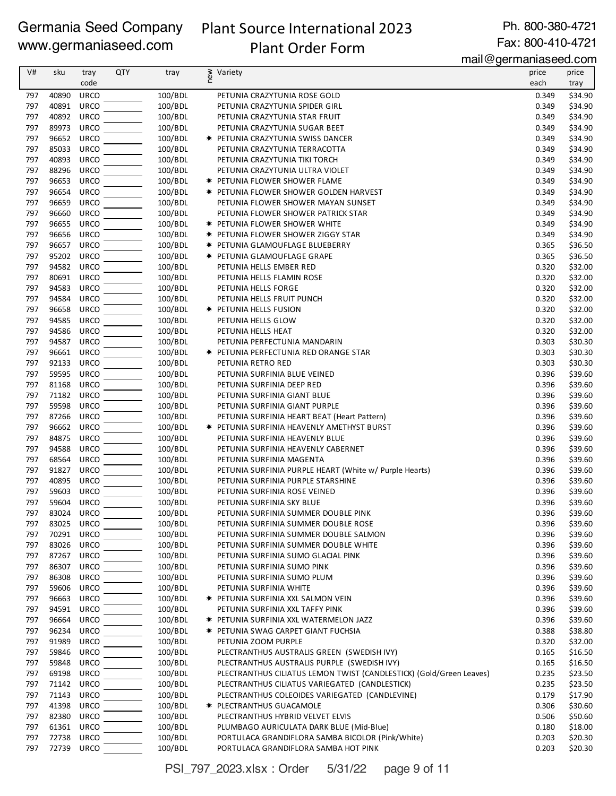# Plant Source International 2023

Ph. 800-380-4721 Fax: 800-410-4721

## Plant Order Form

mail@germaniaseed.com

| V#  | sku        | tray        | QTY | tray    | new | Variety                                                             | price | price   |
|-----|------------|-------------|-----|---------|-----|---------------------------------------------------------------------|-------|---------|
|     |            | code        |     |         |     |                                                                     | each  | tray    |
| 797 | 40890      | <b>URCO</b> |     | 100/BDL |     | PETUNIA CRAZYTUNIA ROSE GOLD                                        | 0.349 | \$34.90 |
| 797 | 40891      | <b>URCO</b> |     | 100/BDL |     | PETUNIA CRAZYTUNIA SPIDER GIRL                                      | 0.349 | \$34.90 |
| 797 | 40892      | <b>URCO</b> |     | 100/BDL |     | PETUNIA CRAZYTUNIA STAR FRUIT                                       | 0.349 | \$34.90 |
| 797 | 89973      | <b>URCO</b> |     | 100/BDL |     | PETUNIA CRAZYTUNIA SUGAR BEET                                       | 0.349 | \$34.90 |
| 797 | 96652      | <b>URCO</b> |     | 100/BDL |     | <b>* PETUNIA CRAZYTUNIA SWISS DANCER</b>                            | 0.349 | \$34.90 |
| 797 | 85033      | <b>URCO</b> |     | 100/BDL |     | PETUNIA CRAZYTUNIA TERRACOTTA                                       | 0.349 | \$34.90 |
| 797 | 40893      | <b>URCO</b> |     | 100/BDL |     | PETUNIA CRAZYTUNIA TIKI TORCH                                       | 0.349 | \$34.90 |
| 797 | 88296      | <b>URCO</b> |     | 100/BDL |     | PETUNIA CRAZYTUNIA ULTRA VIOLET                                     | 0.349 | \$34.90 |
| 797 | 96653      | <b>URCO</b> |     | 100/BDL |     | * PETUNIA FLOWER SHOWER FLAME                                       | 0.349 | \$34.90 |
| 797 | 96654      | <b>URCO</b> |     | 100/BDL |     | <b>★ PETUNIA FLOWER SHOWER GOLDEN HARVEST</b>                       | 0.349 | \$34.90 |
| 797 | 96659      | <b>URCO</b> |     | 100/BDL |     | PETUNIA FLOWER SHOWER MAYAN SUNSET                                  | 0.349 | \$34.90 |
| 797 | 96660      | <b>URCO</b> |     | 100/BDL |     | PETUNIA FLOWER SHOWER PATRICK STAR                                  | 0.349 | \$34.90 |
| 797 | 96655      | <b>URCO</b> |     | 100/BDL |     | <b>★ PETUNIA FLOWER SHOWER WHITE</b>                                | 0.349 | \$34.90 |
| 797 | 96656      | <b>URCO</b> |     | 100/BDL |     |                                                                     | 0.349 | \$34.90 |
|     |            |             |     |         |     | <b>★ PETUNIA FLOWER SHOWER ZIGGY STAR</b>                           |       |         |
| 797 | 96657      | <b>URCO</b> |     | 100/BDL |     | <b>* PETUNIA GLAMOUFLAGE BLUEBERRY</b>                              | 0.365 | \$36.50 |
| 797 | 95202      | <b>URCO</b> |     | 100/BDL |     | * PETUNIA GLAMOUFLAGE GRAPE                                         | 0.365 | \$36.50 |
| 797 | 94582      | <b>URCO</b> |     | 100/BDL |     | PETUNIA HELLS EMBER RED                                             | 0.320 | \$32.00 |
| 797 | 80691      | <b>URCO</b> |     | 100/BDL |     | PETUNIA HELLS FLAMIN ROSE                                           | 0.320 | \$32.00 |
| 797 | 94583      | <b>URCO</b> |     | 100/BDL |     | PETUNIA HELLS FORGE                                                 | 0.320 | \$32.00 |
| 797 | 94584      | <b>URCO</b> |     | 100/BDL |     | PETUNIA HELLS FRUIT PUNCH                                           | 0.320 | \$32.00 |
| 797 | 96658      | <b>URCO</b> |     | 100/BDL |     | * PETUNIA HELLS FUSION                                              | 0.320 | \$32.00 |
| 797 | 94585      | <b>URCO</b> |     | 100/BDL |     | PETUNIA HELLS GLOW                                                  | 0.320 | \$32.00 |
| 797 | 94586      | <b>URCO</b> |     | 100/BDL |     | PETUNIA HELLS HEAT                                                  | 0.320 | \$32.00 |
| 797 | 94587      | <b>URCO</b> |     | 100/BDL |     | PETUNIA PERFECTUNIA MANDARIN                                        | 0.303 | \$30.30 |
| 797 | 96661      | <b>URCO</b> |     | 100/BDL |     | * PETUNIA PERFECTUNIA RED ORANGE STAR                               | 0.303 | \$30.30 |
| 797 | 92133      | <b>URCO</b> |     | 100/BDL |     | PETUNIA RETRO RED                                                   | 0.303 | \$30.30 |
| 797 | 59595      | <b>URCO</b> |     | 100/BDL |     | PETUNIA SURFINIA BLUE VEINED                                        | 0.396 | \$39.60 |
| 797 | 81168      | <b>URCO</b> |     | 100/BDL |     | PETUNIA SURFINIA DEEP RED                                           | 0.396 | \$39.60 |
| 797 | 71182      | <b>URCO</b> |     | 100/BDL |     | PETUNIA SURFINIA GIANT BLUE                                         | 0.396 | \$39.60 |
| 797 | 59598      | <b>URCO</b> |     | 100/BDL |     | PETUNIA SURFINIA GIANT PURPLE                                       | 0.396 | \$39.60 |
| 797 | 87266      | <b>URCO</b> |     | 100/BDL |     | PETUNIA SURFINIA HEART BEAT (Heart Pattern)                         | 0.396 | \$39.60 |
| 797 | 96662      | <b>URCO</b> |     | 100/BDL |     | * PETUNIA SURFINIA HEAVENLY AMETHYST BURST                          | 0.396 | \$39.60 |
| 797 | 84875      | <b>URCO</b> |     | 100/BDL |     | PETUNIA SURFINIA HEAVENLY BLUE                                      | 0.396 | \$39.60 |
| 797 | 94588      | <b>URCO</b> |     | 100/BDL |     | PETUNIA SURFINIA HEAVENLY CABERNET                                  | 0.396 | \$39.60 |
| 797 | 68564      | <b>URCO</b> |     |         |     |                                                                     |       |         |
|     |            |             |     | 100/BDL |     | PETUNIA SURFINIA MAGENTA                                            | 0.396 | \$39.60 |
| 797 | 91827      | <b>URCO</b> |     | 100/BDL |     | PETUNIA SURFINIA PURPLE HEART (White w/ Purple Hearts)              | 0.396 | \$39.60 |
| 797 | 40895      | <b>URCO</b> |     | 100/BDL |     | PETUNIA SURFINIA PURPLE STARSHINE                                   | 0.396 | \$39.60 |
| 797 | 59603      | <b>URCO</b> |     | 100/BDL |     | PETUNIA SURFINIA ROSE VEINED                                        | 0.396 | \$39.60 |
| 797 | 59604      | URCO        |     | 100/BDL |     | PETUNIA SURFINIA SKY BLUE                                           | 0.396 | \$39.60 |
| 797 | 83024 URCO |             |     | 100/BDL |     | PETUNIA SURFINIA SUMMER DOUBLE PINK                                 | 0.396 | \$39.60 |
| 797 | 83025 URCO |             |     | 100/BDL |     | PETUNIA SURFINIA SUMMER DOUBLE ROSE                                 | 0.396 | \$39.60 |
| 797 | 70291 URCO |             |     | 100/BDL |     | PETUNIA SURFINIA SUMMER DOUBLE SALMON                               | 0.396 | \$39.60 |
| 797 | 83026      | URCO        |     | 100/BDL |     | PETUNIA SURFINIA SUMMER DOUBLE WHITE                                | 0.396 | \$39.60 |
| 797 | 87267      | URCO        |     | 100/BDL |     | PETUNIA SURFINIA SUMO GLACIAL PINK                                  | 0.396 | \$39.60 |
| 797 | 86307      | <b>URCO</b> |     | 100/BDL |     | PETUNIA SURFINIA SUMO PINK                                          | 0.396 | \$39.60 |
| 797 | 86308      | <b>URCO</b> |     | 100/BDL |     | PETUNIA SURFINIA SUMO PLUM                                          | 0.396 | \$39.60 |
| 797 | 59606      | <b>URCO</b> |     | 100/BDL |     | PETUNIA SURFINIA WHITE                                              | 0.396 | \$39.60 |
| 797 | 96663      | <b>URCO</b> |     | 100/BDL |     | <b>★ PETUNIA SURFINIA XXL SALMON VEIN</b>                           | 0.396 | \$39.60 |
| 797 | 94591      | <b>URCO</b> |     | 100/BDL |     | PETUNIA SURFINIA XXL TAFFY PINK                                     | 0.396 | \$39.60 |
| 797 | 96664      | <b>URCO</b> |     | 100/BDL |     | <b>★ PETUNIA SURFINIA XXL WATERMELON JAZZ</b>                       | 0.396 | \$39.60 |
| 797 | 96234      | <b>URCO</b> |     | 100/BDL |     | <b>★ PETUNIA SWAG CARPET GIANT FUCHSIA</b>                          | 0.388 | \$38.80 |
| 797 | 91989      | <b>URCO</b> |     | 100/BDL |     | PETUNIA ZOOM PURPLE                                                 | 0.320 | \$32.00 |
| 797 | 59846      | <b>URCO</b> |     | 100/BDL |     | PLECTRANTHUS AUSTRALIS GREEN (SWEDISH IVY)                          | 0.165 | \$16.50 |
| 797 | 59848      | <b>URCO</b> |     | 100/BDL |     | PLECTRANTHUS AUSTRALIS PURPLE (SWEDISH IVY)                         | 0.165 | \$16.50 |
| 797 | 69198      | <b>URCO</b> |     | 100/BDL |     | PLECTRANTHUS CILIATUS LEMON TWIST (CANDLESTICK) (Gold/Green Leaves) | 0.235 | \$23.50 |
| 797 | 71142      | <b>URCO</b> |     | 100/BDL |     | PLECTRANTHUS CILIATUS VARIEGATED (CANDLESTICK)                      | 0.235 | \$23.50 |
|     |            |             |     |         |     |                                                                     |       |         |
| 797 | 71143      | <b>URCO</b> |     | 100/BDL |     | PLECTRANTHUS COLEOIDES VARIEGATED (CANDLEVINE)                      | 0.179 | \$17.90 |
| 797 | 41398      | <b>URCO</b> |     | 100/BDL |     | <b>★ PLECTRANTHUS GUACAMOLE</b>                                     | 0.306 | \$30.60 |
| 797 | 82380      | <b>URCO</b> |     | 100/BDL |     | PLECTRANTHUS HYBRID VELVET ELVIS                                    | 0.506 | \$50.60 |
| 797 | 61361      | <b>URCO</b> |     | 100/BDL |     | PLUMBAGO AURICULATA DARK BLUE (Mid-Blue)                            | 0.180 | \$18.00 |
| 797 | 72738      | URCO        |     | 100/BDL |     | PORTULACA GRANDIFLORA SAMBA BICOLOR (Pink/White)                    | 0.203 | \$20.30 |
| 797 | 72739 URCO |             |     | 100/BDL |     | PORTULACA GRANDIFLORA SAMBA HOT PINK                                | 0.203 | \$20.30 |

PSI\_797\_2023.xlsx : Order 5/31/22 page 9 of 11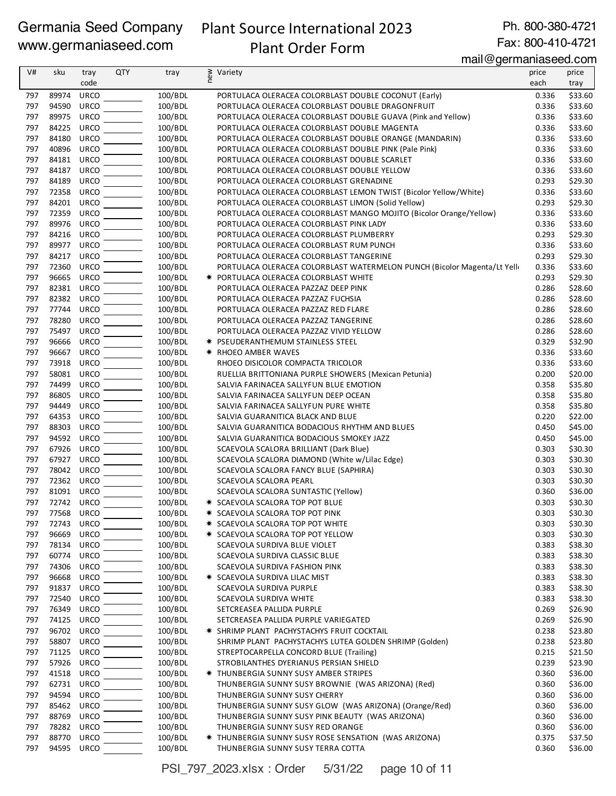## Plant Source International 2023 Plant Order Form

Ph. 800-380-4721

#### Fax: 800-410-4721 mail@germaniaseed.com

| V#         | sku            | tray                       | <b>QTY</b> | tray               | new<br>Variety                                                                                           | price          | price              |
|------------|----------------|----------------------------|------------|--------------------|----------------------------------------------------------------------------------------------------------|----------------|--------------------|
|            |                | code                       |            |                    |                                                                                                          | each           | tray               |
| 797        | 89974          | URCO                       |            | 100/BDL            | PORTULACA OLERACEA COLORBLAST DOUBLE COCONUT (Early)                                                     | 0.336          | \$33.60            |
| 797        | 94590          | <b>URCO</b>                |            | 100/BDL            | PORTULACA OLERACEA COLORBLAST DOUBLE DRAGONFRUIT                                                         | 0.336          | \$33.60            |
| 797        | 89975          | <b>URCO</b>                |            | 100/BDL            | PORTULACA OLERACEA COLORBLAST DOUBLE GUAVA (Pink and Yellow)                                             | 0.336          | \$33.60            |
| 797        | 84225          | URCO                       |            | 100/BDL            | PORTULACA OLERACEA COLORBLAST DOUBLE MAGENTA                                                             | 0.336          | \$33.60            |
| 797        | 84180          | URCO                       |            | 100/BDL            | PORTULACA OLERACEA COLORBLAST DOUBLE ORANGE (MANDARIN)                                                   | 0.336          | \$33.60            |
| 797        | 40896          | <b>URCO</b>                |            | 100/BDL            | PORTULACA OLERACEA COLORBLAST DOUBLE PINK (Pale Pink)                                                    | 0.336          | \$33.60            |
| 797        | 84181<br>84187 | <b>URCO</b><br><b>URCO</b> |            | 100/BDL            | PORTULACA OLERACEA COLORBLAST DOUBLE SCARLET                                                             | 0.336          | \$33.60            |
| 797<br>797 | 84189          | <b>URCO</b>                |            | 100/BDL<br>100/BDL | PORTULACA OLERACEA COLORBLAST DOUBLE YELLOW<br>PORTULACA OLERACEA COLORBLAST GRENADINE                   | 0.336<br>0.293 | \$33.60<br>\$29.30 |
| 797        | 72358          | <b>URCO</b>                |            | 100/BDL            | PORTULACA OLERACEA COLORBLAST LEMON TWIST (Bicolor Yellow/White)                                         | 0.336          | \$33.60            |
| 797        | 84201          | <b>URCO</b>                |            | 100/BDL            | PORTULACA OLERACEA COLORBLAST LIMON (Solid Yellow)                                                       | 0.293          | \$29.30            |
| 797        | 72359          | <b>URCO</b>                |            | 100/BDL            | PORTULACA OLERACEA COLORBLAST MANGO MOJITO (Bicolor Orange/Yellow)                                       | 0.336          | \$33.60            |
| 797        | 89976          | <b>URCO</b>                |            | 100/BDL            | PORTULACA OLERACEA COLORBLAST PINK LADY                                                                  | 0.336          | \$33.60            |
| 797        | 84216          | URCO                       |            | 100/BDL            | PORTULACA OLERACEA COLORBLAST PLUMBERRY                                                                  | 0.293          | \$29.30            |
| 797        | 89977          | <b>URCO</b>                |            | 100/BDL            | PORTULACA OLERACEA COLORBLAST RUM PUNCH                                                                  | 0.336          | \$33.60            |
| 797        | 84217          | <b>URCO</b>                |            | 100/BDL            | PORTULACA OLERACEA COLORBLAST TANGERINE                                                                  | 0.293          | \$29.30            |
| 797        | 72360          | <b>URCO</b>                |            | 100/BDL            | PORTULACA OLERACEA COLORBLAST WATERMELON PUNCH (Bicolor Magenta/Lt Yelli                                 | 0.336          | \$33.60            |
| 797        | 96665          | URCO                       |            | 100/BDL            | * PORTULACA OLERACEA COLORBLAST WHITE                                                                    | 0.293          | \$29.30            |
| 797        | 82381          | URCO                       |            | 100/BDL            | PORTULACA OLERACEA PAZZAZ DEEP PINK                                                                      | 0.286          | \$28.60            |
| 797        | 82382          | <b>URCO</b>                |            | 100/BDL            | PORTULACA OLERACEA PAZZAZ FUCHSIA                                                                        | 0.286          | \$28.60            |
| 797        | 77744          | <b>URCO</b>                |            | 100/BDL            | PORTULACA OLERACEA PAZZAZ RED FLARE                                                                      | 0.286          | \$28.60            |
| 797        | 78280          | <b>URCO</b>                |            | 100/BDL            | PORTULACA OLERACEA PAZZAZ TANGERINE                                                                      | 0.286          | \$28.60            |
| 797<br>797 | 75497<br>96666 | URCO<br><b>URCO</b>        |            | 100/BDL            | PORTULACA OLERACEA PAZZAZ VIVID YELLOW                                                                   | 0.286          | \$28.60            |
| 797        |                | <b>URCO</b>                |            | 100/BDL            | <b>★ PSEUDERANTHEMUM STAINLESS STEEL</b>                                                                 | 0.329          | \$32.90            |
| 797        | 96667<br>73918 | <b>URCO</b>                |            | 100/BDL<br>100/BDL | <b>★ RHOEO AMBER WAVES</b><br>RHOEO DISICOLOR COMPACTA TRICOLOR                                          | 0.336<br>0.336 | \$33.60<br>\$33.60 |
| 797        | 58081          | URCO                       |            | 100/BDL            | RUELLIA BRITTONIANA PURPLE SHOWERS (Mexican Petunia)                                                     | 0.200          | \$20.00            |
| 797        | 74499          | <b>URCO</b>                |            | 100/BDL            | SALVIA FARINACEA SALLYFUN BLUE EMOTION                                                                   | 0.358          | \$35.80            |
| 797        | 86805          | URCO                       |            | 100/BDL            | SALVIA FARINACEA SALLYFUN DEEP OCEAN                                                                     | 0.358          | \$35.80            |
| 797        | 94449          | <b>URCO</b>                |            | 100/BDL            | SALVIA FARINACEA SALLYFUN PURE WHITE                                                                     | 0.358          | \$35.80            |
| 797        | 64353          | <b>URCO</b>                |            | 100/BDL            | SALVIA GUARANITICA BLACK AND BLUE                                                                        | 0.220          | \$22.00            |
| 797        | 88303          | <b>URCO</b>                |            | 100/BDL            | SALVIA GUARANITICA BODACIOUS RHYTHM AND BLUES                                                            | 0.450          | \$45.00            |
| 797        | 94592          | <b>URCO</b>                |            | 100/BDL            | SALVIA GUARANITICA BODACIOUS SMOKEY JAZZ                                                                 | 0.450          | \$45.00            |
| 797        | 67926          | <b>URCO</b>                |            | 100/BDL            | SCAEVOLA SCALORA BRILLIANT (Dark Blue)                                                                   | 0.303          | \$30.30            |
| 797        | 67927          | <b>URCO</b>                |            | 100/BDL            | SCAEVOLA SCALORA DIAMOND (White w/Lilac Edge)                                                            | 0.303          | \$30.30            |
| 797        | 78042          | URCO                       |            | 100/BDL            | SCAEVOLA SCALORA FANCY BLUE (SAPHIRA)                                                                    | 0.303          | \$30.30            |
| 797        | 72362          | <b>URCO</b>                |            | 100/BDL            | SCAEVOLA SCALORA PEARL                                                                                   | 0.303          | \$30.30            |
| 797        | 81091          | <b>URCO</b>                |            | 100/BDL            | SCAEVOLA SCALORA SUNTASTIC (Yellow)                                                                      | 0.360          | \$36.00            |
| 797        | 72742 URCO     |                            |            | 100/BDL            | <b>* SCAEVOLA SCALORA TOP POT BLUE</b>                                                                   | 0.303          | \$30.30            |
| 797        | 77568 URCO     |                            |            | 100/BDL            | * SCAEVOLA SCALORA TOP POT PINK                                                                          | 0.303          | \$30.30            |
| 797<br>797 | 72743<br>96669 | URCO<br><b>URCO</b>        |            | 100/BDL<br>100/BDL | <b>★ SCAEVOLA SCALORA TOP POT WHITE</b><br>* SCAEVOLA SCALORA TOP POT YELLOW                             | 0.303<br>0.303 | \$30.30<br>\$30.30 |
| 797        | 78134          | URCO                       |            | 100/BDL            | SCAEVOLA SURDIVA BLUE VIOLET                                                                             | 0.383          | \$38.30            |
| 797        | 60774          | <b>URCO</b>                |            | 100/BDL            | SCAEVOLA SURDIVA CLASSIC BLUE                                                                            | 0.383          | \$38.30            |
| 797        | 74306          | URCO                       |            | 100/BDL            | SCAEVOLA SURDIVA FASHION PINK                                                                            | 0.383          | \$38.30            |
| 797        | 96668          | <b>URCO</b>                |            | 100/BDL            | <b>★ SCAEVOLA SURDIVA LILAC MIST</b>                                                                     | 0.383          | \$38.30            |
| 797        | 91837          | URCO                       |            | 100/BDL            | SCAEVOLA SURDIVA PURPLE                                                                                  | 0.383          | \$38.30            |
| 797        | 72540          | <b>URCO</b>                |            | 100/BDL            | SCAEVOLA SURDIVA WHITE                                                                                   | 0.383          | \$38.30            |
| 797        | 76349          | <b>URCO</b>                |            | 100/BDL            | SETCREASEA PALLIDA PURPLE                                                                                | 0.269          | \$26.90            |
| 797        | 74125          | URCO                       |            | 100/BDL            | SETCREASEA PALLIDA PURPLE VARIEGATED                                                                     | 0.269          | \$26.90            |
| 797        | 96702          | URCO                       |            | 100/BDL            | * SHRIMP PLANT PACHYSTACHYS FRUIT COCKTAIL                                                               | 0.238          | \$23.80            |
| 797        | 58807          | <b>URCO</b>                |            | 100/BDL            | SHRIMP PLANT PACHYSTACHYS LUTEA GOLDEN SHRIMP (Golden)                                                   | 0.238          | \$23.80            |
| 797        | 71125          | URCO                       |            | 100/BDL            | STREPTOCARPELLA CONCORD BLUE (Trailing)                                                                  | 0.215          | \$21.50            |
| 797        | 57926          | URCO                       |            | 100/BDL            | STROBILANTHES DYERIANUS PERSIAN SHIELD                                                                   | 0.239          | \$23.90            |
| 797        | 41518          | <b>URCO</b>                |            | 100/BDL            | <b>★ THUNBERGIA SUNNY SUSY AMBER STRIPES</b>                                                             | 0.360          | \$36.00            |
| 797        | 62731          | URCO                       |            | 100/BDL            | THUNBERGIA SUNNY SUSY BROWNIE (WAS ARIZONA) (Red)                                                        | 0.360          | \$36.00            |
| 797        | 94594          | <b>URCO</b>                |            | 100/BDL            | THUNBERGIA SUNNY SUSY CHERRY                                                                             | 0.360          | \$36.00            |
| 797<br>797 | 85462<br>88769 | URCO<br><b>URCO</b>        |            | 100/BDL<br>100/BDL | THUNBERGIA SUNNY SUSY GLOW (WAS ARIZONA) (Orange/Red)<br>THUNBERGIA SUNNY SUSY PINK BEAUTY (WAS ARIZONA) | 0.360<br>0.360 | \$36.00<br>\$36.00 |
| 797        | 78282          | <b>URCO</b>                |            | 100/BDL            | THUNBERGIA SUNNY SUSY RED ORANGE                                                                         | 0.360          | \$36.00            |
| 797        | 88770          | <b>URCO</b>                |            | 100/BDL            | * THUNBERGIA SUNNY SUSY ROSE SENSATION (WAS ARIZONA)                                                     | 0.375          | \$37.50            |
| 797        | 94595          | URCO                       |            | 100/BDL            | THUNBERGIA SUNNY SUSY TERRA COTTA                                                                        | 0.360          | \$36.00            |
|            |                |                            |            |                    |                                                                                                          |                |                    |

PSI\_797\_2023.xlsx : Order 5/31/22 page 10 of 11